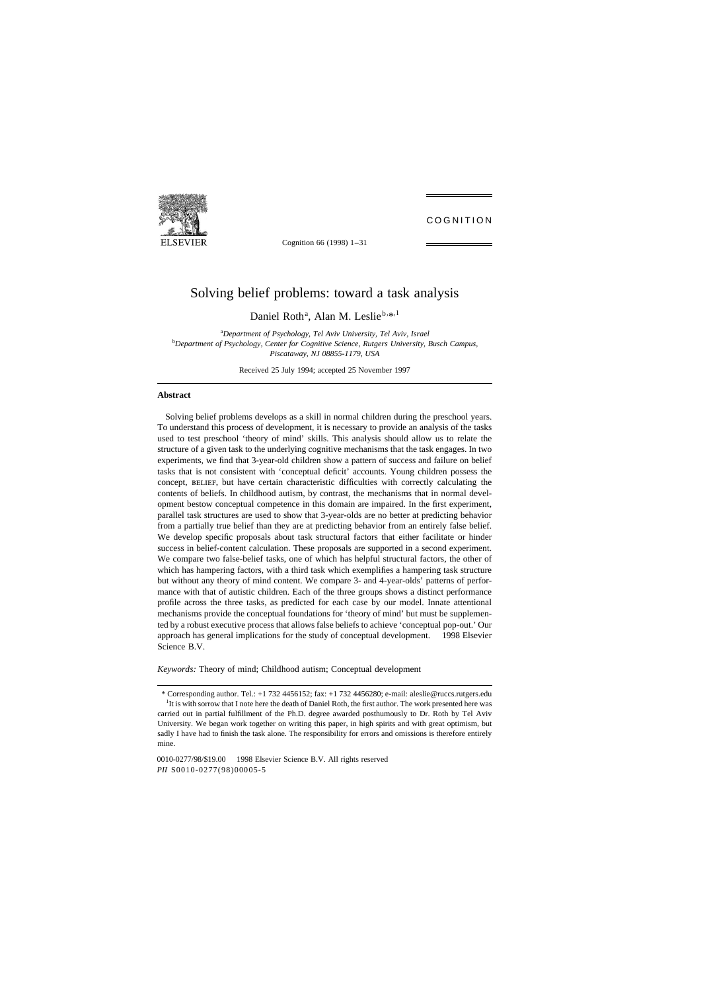COGNITION



Cognition 66 (1998) 1–31

# Solving belief problems: toward a task analysis

Daniel Roth<sup>a</sup>, Alan M. Leslie<sup>b,\*,1</sup>

a *Department of Psychology, Tel Aviv University, Tel Aviv, Israel* b *Department of Psychology, Center for Cognitive Science, Rutgers University, Busch Campus, Piscataway, NJ 08855-1179, USA*

Received 25 July 1994; accepted 25 November 1997

## **Abstract**

Solving belief problems develops as a skill in normal children during the preschool years. To understand this process of development, it is necessary to provide an analysis of the tasks used to test preschool 'theory of mind' skills. This analysis should allow us to relate the structure of a given task to the underlying cognitive mechanisms that the task engages. In two experiments, we find that 3-year-old children show a pattern of success and failure on belief tasks that is not consistent with 'conceptual deficit' accounts. Young children possess the concept, BELIEF, but have certain characteristic difficulties with correctly calculating the contents of beliefs. In childhood autism, by contrast, the mechanisms that in normal development bestow conceptual competence in this domain are impaired. In the first experiment, parallel task structures are used to show that 3-year-olds are no better at predicting behavior from a partially true belief than they are at predicting behavior from an entirely false belief. We develop specific proposals about task structural factors that either facilitate or hinder success in belief-content calculation. These proposals are supported in a second experiment. We compare two false-belief tasks, one of which has helpful structural factors, the other of which has hampering factors, with a third task which exemplifies a hampering task structure but without any theory of mind content. We compare 3- and 4-year-olds' patterns of performance with that of autistic children. Each of the three groups shows a distinct performance profile across the three tasks, as predicted for each case by our model. Innate attentional mechanisms provide the conceptual foundations for 'theory of mind' but must be supplemented by a robust executive process that allows false beliefs to achieve 'conceptual pop-out.' Our approach has general implications for the study of conceptual development.  $© 1998$  Elsevier Science B.V.

*Keywords:* Theory of mind; Childhood autism; Conceptual development

<sup>\*</sup> Corresponding author. Tel.: +1 732 4456152; fax: +1 732 4456280; e-mail: aleslie@ruccs.rutgers.edu

<sup>&</sup>lt;sup>1</sup>It is with sorrow that I note here the death of Daniel Roth, the first author. The work presented here was carried out in partial fulfillment of the Ph.D. degree awarded posthumously to Dr. Roth by Tel Aviv University. We began work together on writing this paper, in high spirits and with great optimism, but sadly I have had to finish the task alone. The responsibility for errors and omissions is therefore entirely mine.

<sup>0010-0277/98/\$19.00</sup> 1998 Elsevier Science B.V. All rights reserved *PII* S0010-0277(98)00005-5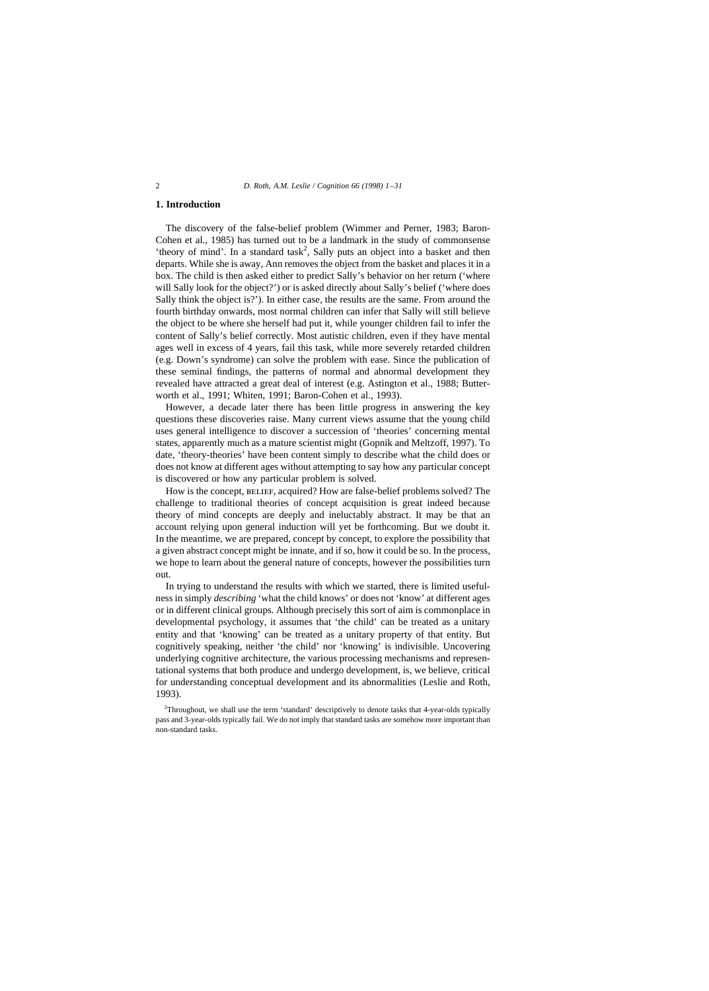#### **1. Introduction**

The discovery of the false-belief problem (Wimmer and Perner, 1983; Baron-Cohen et al., 1985) has turned out to be a landmark in the study of commonsense 'theory of mind'. In a standard task<sup>2</sup>, Sally puts an object into a basket and then departs. While she is away, Ann removes the object from the basket and places it in a box. The child is then asked either to predict Sally's behavior on her return ('where will Sally look for the object?') or is asked directly about Sally's belief ('where does Sally think the object is?'). In either case, the results are the same. From around the fourth birthday onwards, most normal children can infer that Sally will still believe the object to be where she herself had put it, while younger children fail to infer the content of Sally's belief correctly. Most autistic children, even if they have mental ages well in excess of 4 years, fail this task, while more severely retarded children (e.g. Down's syndrome) can solve the problem with ease. Since the publication of these seminal findings, the patterns of normal and abnormal development they revealed have attracted a great deal of interest (e.g. Astington et al., 1988; Butterworth et al., 1991; Whiten, 1991; Baron-Cohen et al., 1993).

However, a decade later there has been little progress in answering the key questions these discoveries raise. Many current views assume that the young child uses general intelligence to discover a succession of 'theories' concerning mental states, apparently much as a mature scientist might (Gopnik and Meltzoff, 1997). To date, 'theory-theories' have been content simply to describe what the child does or does not know at different ages without attempting to say how any particular concept is discovered or how any particular problem is solved.

How is the concept, BELIEF, acquired? How are false-belief problems solved? The challenge to traditional theories of concept acquisition is great indeed because theory of mind concepts are deeply and ineluctably abstract. It may be that an account relying upon general induction will yet be forthcoming. But we doubt it. In the meantime, we are prepared, concept by concept, to explore the possibility that a given abstract concept might be innate, and if so, how it could be so. In the process, we hope to learn about the general nature of concepts, however the possibilities turn out.

In trying to understand the results with which we started, there is limited usefulness in simply *describing* 'what the child knows' or does not 'know' at different ages or in different clinical groups. Although precisely this sort of aim is commonplace in developmental psychology, it assumes that 'the child' can be treated as a unitary entity and that 'knowing' can be treated as a unitary property of that entity. But cognitively speaking, neither 'the child' nor 'knowing' is indivisible. Uncovering underlying cognitive architecture, the various processing mechanisms and representational systems that both produce and undergo development, is, we believe, critical for understanding conceptual development and its abnormalities (Leslie and Roth, 1993).

<sup>&</sup>lt;sup>2</sup>Throughout, we shall use the term 'standard' descriptively to denote tasks that 4-year-olds typically pass and 3-year-olds typically fail. We do not imply that standard tasks are somehow more important than non-standard tasks.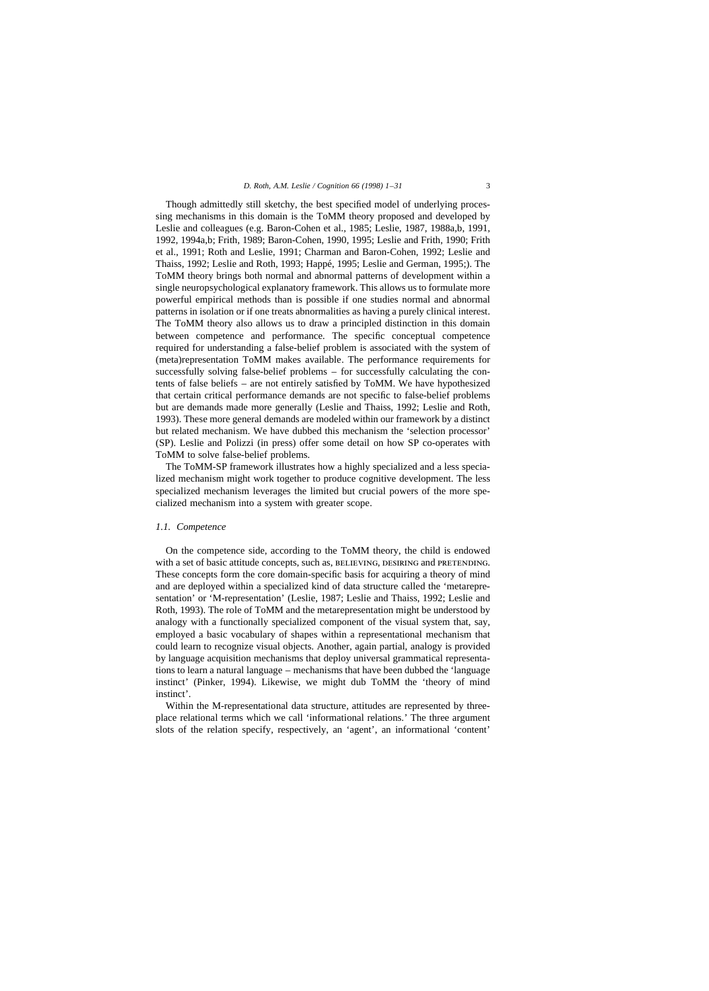Though admittedly still sketchy, the best specified model of underlying processing mechanisms in this domain is the ToMM theory proposed and developed by Leslie and colleagues (e.g. Baron-Cohen et al., 1985; Leslie, 1987, 1988a,b, 1991, 1992, 1994a,b; Frith, 1989; Baron-Cohen, 1990, 1995; Leslie and Frith, 1990; Frith et al., 1991; Roth and Leslie, 1991; Charman and Baron-Cohen, 1992; Leslie and Thaiss, 1992; Leslie and Roth, 1993; Happé, 1995; Leslie and German, 1995;). The ToMM theory brings both normal and abnormal patterns of development within a single neuropsychological explanatory framework. This allows us to formulate more powerful empirical methods than is possible if one studies normal and abnormal patterns in isolation or if one treats abnormalities as having a purely clinical interest. The ToMM theory also allows us to draw a principled distinction in this domain between competence and performance. The specific conceptual competence required for understanding a false-belief problem is associated with the system of (meta)representation ToMM makes available. The performance requirements for successfully solving false-belief problems – for successfully calculating the contents of false beliefs – are not entirely satisfied by ToMM. We have hypothesized that certain critical performance demands are not specific to false-belief problems but are demands made more generally (Leslie and Thaiss, 1992; Leslie and Roth, 1993). These more general demands are modeled within our framework by a distinct but related mechanism. We have dubbed this mechanism the 'selection processor' (SP). Leslie and Polizzi (in press) offer some detail on how SP co-operates with ToMM to solve false-belief problems.

The ToMM-SP framework illustrates how a highly specialized and a less specialized mechanism might work together to produce cognitive development. The less specialized mechanism leverages the limited but crucial powers of the more specialized mechanism into a system with greater scope.

#### *1.1. Competence*

On the competence side, according to the ToMM theory, the child is endowed with a set of basic attitude concepts, such as, BELIEVING, DESIRING and PRETENDING. These concepts form the core domain-specific basis for acquiring a theory of mind and are deployed within a specialized kind of data structure called the 'metarepresentation' or 'M-representation' (Leslie, 1987; Leslie and Thaiss, 1992; Leslie and Roth, 1993). The role of ToMM and the metarepresentation might be understood by analogy with a functionally specialized component of the visual system that, say, employed a basic vocabulary of shapes within a representational mechanism that could learn to recognize visual objects. Another, again partial, analogy is provided by language acquisition mechanisms that deploy universal grammatical representations to learn a natural language – mechanisms that have been dubbed the 'language instinct' (Pinker, 1994). Likewise, we might dub ToMM the 'theory of mind instinct'.

Within the M-representational data structure, attitudes are represented by threeplace relational terms which we call 'informational relations.' The three argument slots of the relation specify, respectively, an 'agent', an informational 'content'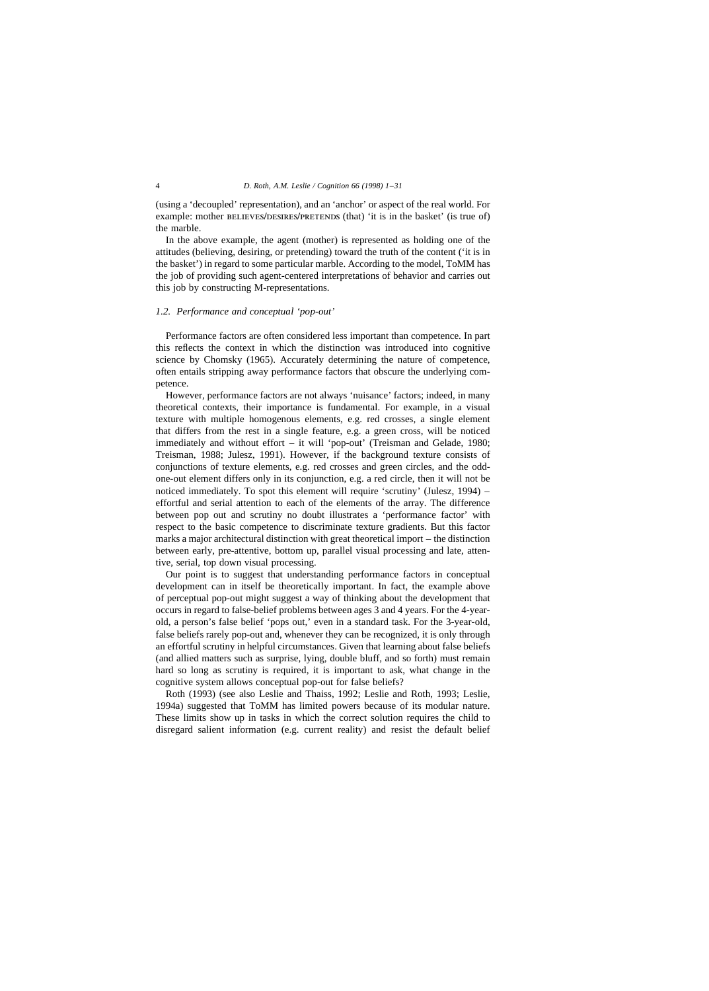(using a 'decoupled' representation), and an 'anchor' or aspect of the real world. For example: mother BELIEVES/DESIRES/PRETENDS (that) 'it is in the basket' (is true of) the marble.

In the above example, the agent (mother) is represented as holding one of the attitudes (believing, desiring, or pretending) toward the truth of the content ('it is in the basket') in regard to some particular marble. According to the model, ToMM has the job of providing such agent-centered interpretations of behavior and carries out this job by constructing M-representations.

# *1.2. Performance and conceptual 'pop-out'*

Performance factors are often considered less important than competence. In part this reflects the context in which the distinction was introduced into cognitive science by Chomsky (1965). Accurately determining the nature of competence, often entails stripping away performance factors that obscure the underlying competence.

However, performance factors are not always 'nuisance' factors; indeed, in many theoretical contexts, their importance is fundamental. For example, in a visual texture with multiple homogenous elements, e.g. red crosses, a single element that differs from the rest in a single feature, e.g. a green cross, will be noticed immediately and without effort – it will 'pop-out' (Treisman and Gelade, 1980; Treisman, 1988; Julesz, 1991). However, if the background texture consists of conjunctions of texture elements, e.g. red crosses and green circles, and the oddone-out element differs only in its conjunction, e.g. a red circle, then it will not be noticed immediately. To spot this element will require 'scrutiny' (Julesz, 1994) – effortful and serial attention to each of the elements of the array. The difference between pop out and scrutiny no doubt illustrates a 'performance factor' with respect to the basic competence to discriminate texture gradients. But this factor marks a major architectural distinction with great theoretical import – the distinction between early, pre-attentive, bottom up, parallel visual processing and late, attentive, serial, top down visual processing.

Our point is to suggest that understanding performance factors in conceptual development can in itself be theoretically important. In fact, the example above of perceptual pop-out might suggest a way of thinking about the development that occurs in regard to false-belief problems between ages 3 and 4 years. For the 4-yearold, a person's false belief 'pops out,' even in a standard task. For the 3-year-old, false beliefs rarely pop-out and, whenever they can be recognized, it is only through an effortful scrutiny in helpful circumstances. Given that learning about false beliefs (and allied matters such as surprise, lying, double bluff, and so forth) must remain hard so long as scrutiny is required, it is important to ask, what change in the cognitive system allows conceptual pop-out for false beliefs?

Roth (1993) (see also Leslie and Thaiss, 1992; Leslie and Roth, 1993; Leslie, 1994a) suggested that ToMM has limited powers because of its modular nature. These limits show up in tasks in which the correct solution requires the child to disregard salient information (e.g. current reality) and resist the default belief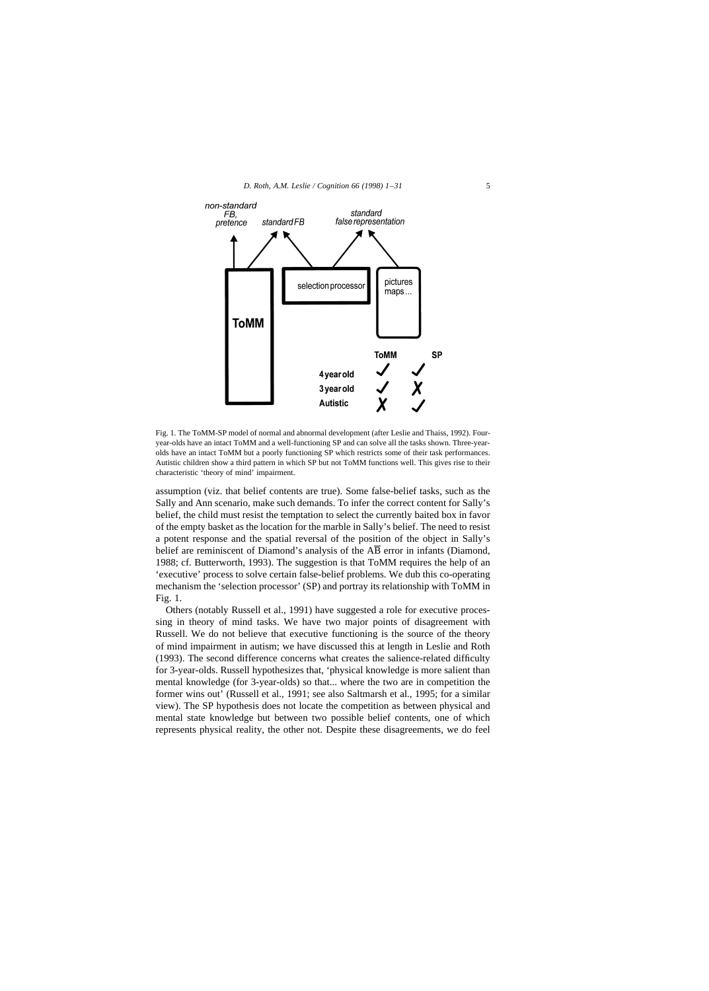

Fig. 1. The ToMM-SP model of normal and abnormal development (after Leslie and Thaiss, 1992). Fouryear-olds have an intact ToMM and a well-functioning SP and can solve all the tasks shown. Three-yearolds have an intact ToMM but a poorly functioning SP which restricts some of their task performances. Autistic children show a third pattern in which SP but not ToMM functions well. This gives rise to their characteristic 'theory of mind' impairment.

assumption (viz. that belief contents are true). Some false-belief tasks, such as the Sally and Ann scenario, make such demands. To infer the correct content for Sally's belief, the child must resist the temptation to select the currently baited box in favor of the empty basket as the location for the marble in Sally's belief. The need to resist a potent response and the spatial reversal of the position of the object in Sally's belief are reminiscent of Diamond's analysis of the  $\overline{AB}$  error in infants (Diamond, 1988; cf. Butterworth, 1993). The suggestion is that ToMM requires the help of an 'executive' process to solve certain false-belief problems. We dub this co-operating mechanism the 'selection processor' (SP) and portray its relationship with ToMM in Fig. 1.

Others (notably Russell et al., 1991) have suggested a role for executive processing in theory of mind tasks. We have two major points of disagreement with Russell. We do not believe that executive functioning is the source of the theory of mind impairment in autism; we have discussed this at length in Leslie and Roth (1993). The second difference concerns what creates the salience-related difficulty for 3-year-olds. Russell hypothesizes that, 'physical knowledge is more salient than mental knowledge (for 3-year-olds) so that... where the two are in competition the former wins out' (Russell et al., 1991; see also Saltmarsh et al., 1995; for a similar view). The SP hypothesis does not locate the competition as between physical and mental state knowledge but between two possible belief contents, one of which represents physical reality, the other not. Despite these disagreements, we do feel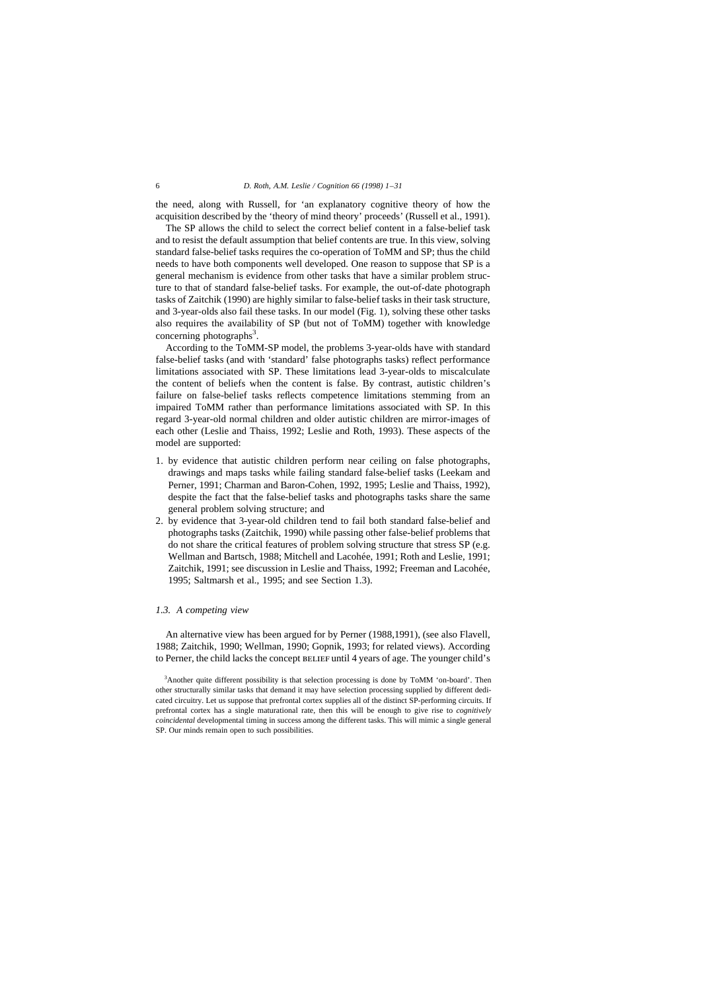the need, along with Russell, for 'an explanatory cognitive theory of how the acquisition described by the 'theory of mind theory' proceeds' (Russell et al., 1991).

The SP allows the child to select the correct belief content in a false-belief task and to resist the default assumption that belief contents are true. In this view, solving standard false-belief tasks requires the co-operation of ToMM and SP; thus the child needs to have both components well developed. One reason to suppose that SP is a general mechanism is evidence from other tasks that have a similar problem structure to that of standard false-belief tasks. For example, the out-of-date photograph tasks of Zaitchik (1990) are highly similar to false-belief tasks in their task structure, and 3-year-olds also fail these tasks. In our model (Fig. 1), solving these other tasks also requires the availability of SP (but not of ToMM) together with knowledge  $\overline{\text{concerning}}$  photographs<sup>3</sup>.

According to the ToMM-SP model, the problems 3-year-olds have with standard false-belief tasks (and with 'standard' false photographs tasks) reflect performance limitations associated with SP. These limitations lead 3-year-olds to miscalculate the content of beliefs when the content is false. By contrast, autistic children's failure on false-belief tasks reflects competence limitations stemming from an impaired ToMM rather than performance limitations associated with SP. In this regard 3-year-old normal children and older autistic children are mirror-images of each other (Leslie and Thaiss, 1992; Leslie and Roth, 1993). These aspects of the model are supported:

- 1. by evidence that autistic children perform near ceiling on false photographs, drawings and maps tasks while failing standard false-belief tasks (Leekam and Perner, 1991; Charman and Baron-Cohen, 1992, 1995; Leslie and Thaiss, 1992), despite the fact that the false-belief tasks and photographs tasks share the same general problem solving structure; and
- 2. by evidence that 3-year-old children tend to fail both standard false-belief and photographs tasks (Zaitchik, 1990) while passing other false-belief problems that do not share the critical features of problem solving structure that stress SP (e.g. Wellman and Bartsch, 1988; Mitchell and Lacohée, 1991; Roth and Leslie, 1991; Zaitchik, 1991; see discussion in Leslie and Thaiss, 1992; Freeman and Lacohée, 1995; Saltmarsh et al., 1995; and see Section 1.3).

## *1.3. A competing view*

An alternative view has been argued for by Perner (1988,1991), (see also Flavell, 1988; Zaitchik, 1990; Wellman, 1990; Gopnik, 1993; for related views). According to Perner, the child lacks the concept BELIEF until 4 years of age. The younger child's

<sup>&</sup>lt;sup>3</sup>Another quite different possibility is that selection processing is done by ToMM 'on-board'. Then other structurally similar tasks that demand it may have selection processing supplied by different dedicated circuitry. Let us suppose that prefrontal cortex supplies all of the distinct SP-performing circuits. If prefrontal cortex has a single maturational rate, then this will be enough to give rise to *cognitively coincidental* developmental timing in success among the different tasks. This will mimic a single general SP. Our minds remain open to such possibilities.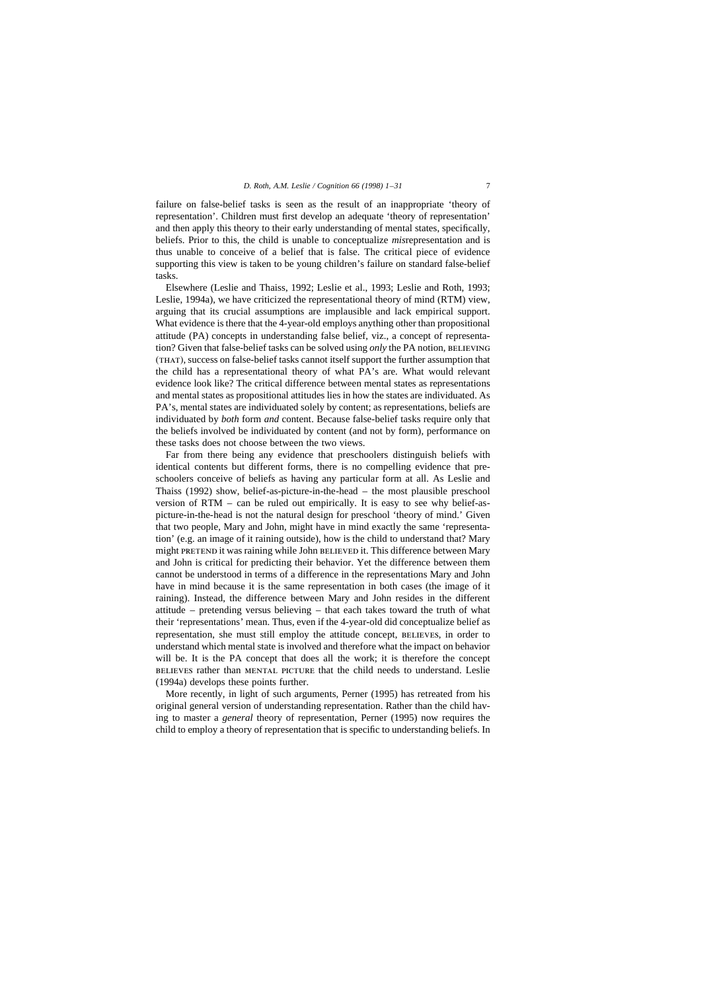failure on false-belief tasks is seen as the result of an inappropriate 'theory of representation'. Children must first develop an adequate 'theory of representation' and then apply this theory to their early understanding of mental states, specifically, beliefs. Prior to this, the child is unable to conceptualize *mis*representation and is thus unable to conceive of a belief that is false. The critical piece of evidence supporting this view is taken to be young children's failure on standard false-belief tasks.

Elsewhere (Leslie and Thaiss, 1992; Leslie et al., 1993; Leslie and Roth, 1993; Leslie, 1994a), we have criticized the representational theory of mind (RTM) view, arguing that its crucial assumptions are implausible and lack empirical support. What evidence is there that the 4-year-old employs anything other than propositional attitude (PA) concepts in understanding false belief, viz., a concept of representation? Given that false-belief tasks can be solved using *only* the PA notion, BELIEVING (that), success on false-belief tasks cannot itself support the further assumption that the child has a representational theory of what PA's are. What would relevant evidence look like? The critical difference between mental states as representations and mental states as propositional attitudes lies in how the states are individuated. As PA's, mental states are individuated solely by content; as representations, beliefs are individuated by *both* form *and* content. Because false-belief tasks require only that the beliefs involved be individuated by content (and not by form), performance on these tasks does not choose between the two views.

Far from there being any evidence that preschoolers distinguish beliefs with identical contents but different forms, there is no compelling evidence that preschoolers conceive of beliefs as having any particular form at all. As Leslie and Thaiss (1992) show, belief-as-picture-in-the-head – the most plausible preschool version of RTM – can be ruled out empirically. It is easy to see why belief-aspicture-in-the-head is not the natural design for preschool 'theory of mind.' Given that two people, Mary and John, might have in mind exactly the same 'representation' (e.g. an image of it raining outside), how is the child to understand that? Mary might PRETEND it was raining while John BELIEVED it. This difference between Mary and John is critical for predicting their behavior. Yet the difference between them cannot be understood in terms of a difference in the representations Mary and John have in mind because it is the same representation in both cases (the image of it raining). Instead, the difference between Mary and John resides in the different attitude – pretending versus believing – that each takes toward the truth of what their 'representations' mean. Thus, even if the 4-year-old did conceptualize belief as representation, she must still employ the attitude concept, BELIEVES, in order to understand which mental state is involved and therefore what the impact on behavior will be. It is the PA concept that does all the work; it is therefore the concept believes rather than mental picture that the child needs to understand. Leslie (1994a) develops these points further.

More recently, in light of such arguments, Perner (1995) has retreated from his original general version of understanding representation. Rather than the child having to master a *general* theory of representation, Perner (1995) now requires the child to employ a theory of representation that is specific to understanding beliefs. In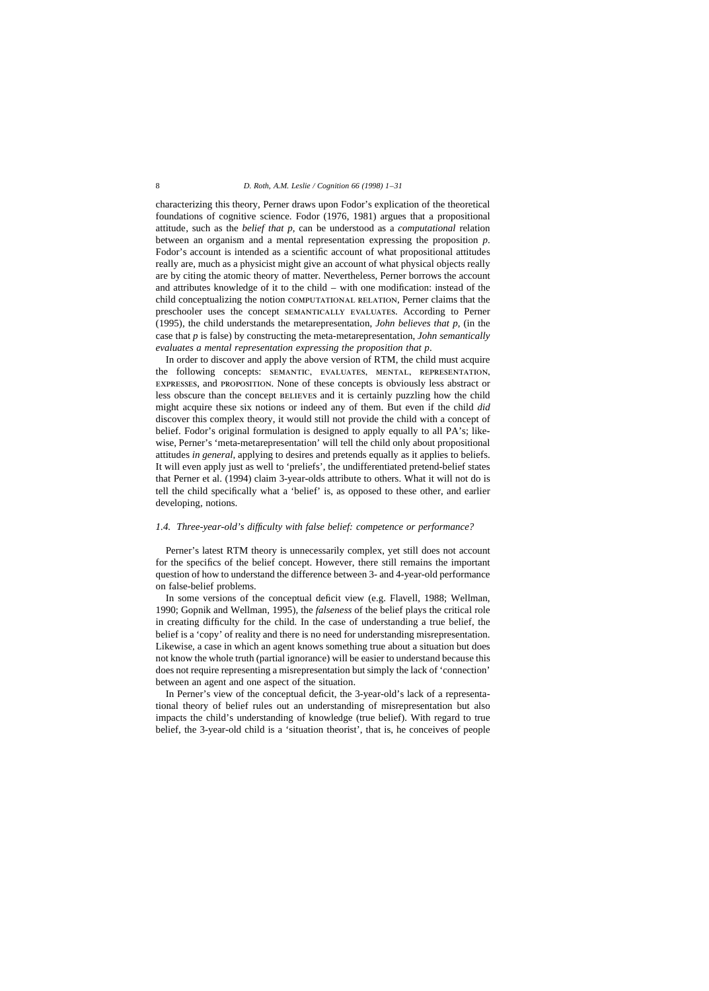characterizing this theory, Perner draws upon Fodor's explication of the theoretical foundations of cognitive science. Fodor (1976, 1981) argues that a propositional attitude, such as the *belief that p*, can be understood as a *computational* relation between an organism and a mental representation expressing the proposition *p*. Fodor's account is intended as a scientific account of what propositional attitudes really are, much as a physicist might give an account of what physical objects really are by citing the atomic theory of matter. Nevertheless, Perner borrows the account and attributes knowledge of it to the child – with one modification: instead of the child conceptualizing the notion COMPUTATIONAL RELATION, Perner claims that the preschooler uses the concept semantically evaluates. According to Perner (1995), the child understands the metarepresentation, *John believes that p*, (in the case that *p* is false) by constructing the meta-metarepresentation, *John semantically evaluates a mental representation expressing the proposition that p*.

In order to discover and apply the above version of RTM, the child must acquire the following concepts: semantic, evaluates, mental, representation, expresses, and proposition. None of these concepts is obviously less abstract or less obscure than the concept BELIEVES and it is certainly puzzling how the child might acquire these six notions or indeed any of them. But even if the child *did* discover this complex theory, it would still not provide the child with a concept of belief. Fodor's original formulation is designed to apply equally to all PA's; likewise, Perner's 'meta-metarepresentation' will tell the child only about propositional attitudes *in general*, applying to desires and pretends equally as it applies to beliefs. It will even apply just as well to 'preliefs', the undifferentiated pretend-belief states that Perner et al. (1994) claim 3-year-olds attribute to others. What it will not do is tell the child specifically what a 'belief' is, as opposed to these other, and earlier developing, notions.

# *1.4. Three-year-old's difficulty with false belief: competence or performance?*

Perner's latest RTM theory is unnecessarily complex, yet still does not account for the specifics of the belief concept. However, there still remains the important question of how to understand the difference between 3- and 4-year-old performance on false-belief problems.

In some versions of the conceptual deficit view (e.g. Flavell, 1988; Wellman, 1990; Gopnik and Wellman, 1995), the *falseness* of the belief plays the critical role in creating difficulty for the child. In the case of understanding a true belief, the belief is a 'copy' of reality and there is no need for understanding misrepresentation. Likewise, a case in which an agent knows something true about a situation but does not know the whole truth (partial ignorance) will be easier to understand because this does not require representing a misrepresentation but simply the lack of 'connection' between an agent and one aspect of the situation.

In Perner's view of the conceptual deficit, the 3-year-old's lack of a representational theory of belief rules out an understanding of misrepresentation but also impacts the child's understanding of knowledge (true belief). With regard to true belief, the 3-year-old child is a 'situation theorist', that is, he conceives of people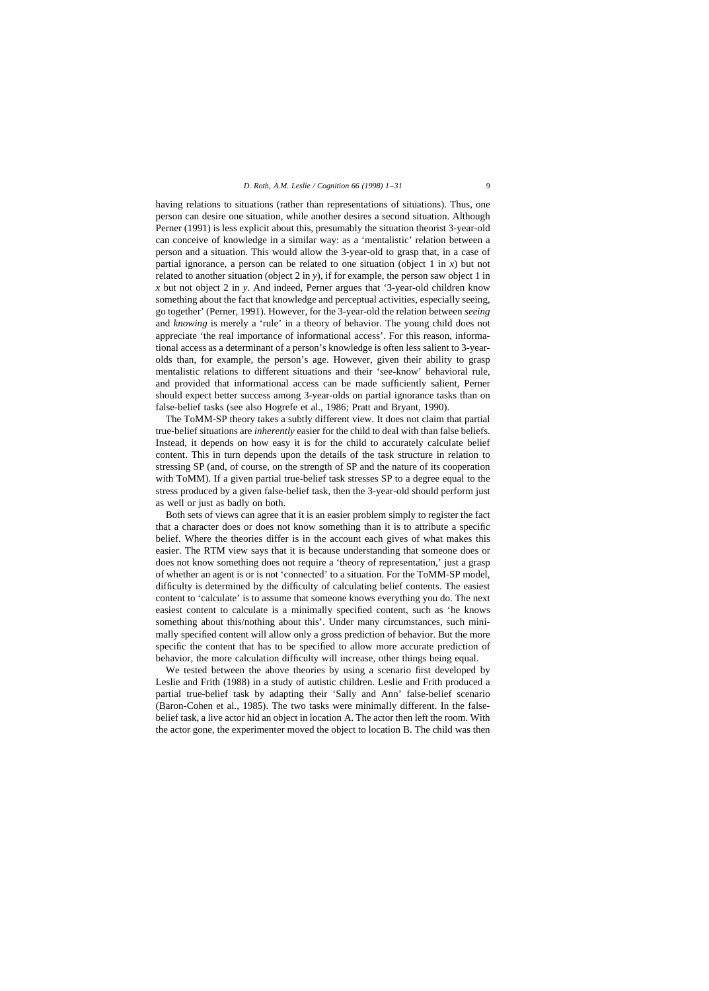having relations to situations (rather than representations of situations). Thus, one person can desire one situation, while another desires a second situation. Although Perner (1991) is less explicit about this, presumably the situation theorist 3-year-old can conceive of knowledge in a similar way: as a 'mentalistic' relation between a person and a situation. This would allow the 3-year-old to grasp that, in a case of partial ignorance, a person can be related to one situation (object 1 in *x*) but not related to another situation (object 2 in *y*), if for example, the person saw object 1 in *x* but not object 2 in *y*. And indeed, Perner argues that '3-year-old children know something about the fact that knowledge and perceptual activities, especially seeing, go together' (Perner, 1991). However, for the 3-year-old the relation between *seeing* and *knowing* is merely a 'rule' in a theory of behavior. The young child does not appreciate 'the real importance of informational access'. For this reason, informational access as a determinant of a person's knowledge is often less salient to 3-yearolds than, for example, the person's age. However, given their ability to grasp mentalistic relations to different situations and their 'see-know' behavioral rule, and provided that informational access can be made sufficiently salient, Perner should expect better success among 3-year-olds on partial ignorance tasks than on false-belief tasks (see also Hogrefe et al., 1986; Pratt and Bryant, 1990).

The ToMM-SP theory takes a subtly different view. It does not claim that partial true-belief situations are *inherently* easier for the child to deal with than false beliefs. Instead, it depends on how easy it is for the child to accurately calculate belief content. This in turn depends upon the details of the task structure in relation to stressing SP (and, of course, on the strength of SP and the nature of its cooperation with ToMM). If a given partial true-belief task stresses SP to a degree equal to the stress produced by a given false-belief task, then the 3-year-old should perform just as well or just as badly on both.

Both sets of views can agree that it is an easier problem simply to register the fact that a character does or does not know something than it is to attribute a specific belief. Where the theories differ is in the account each gives of what makes this easier. The RTM view says that it is because understanding that someone does or does not know something does not require a 'theory of representation,' just a grasp of whether an agent is or is not 'connected' to a situation. For the ToMM-SP model, difficulty is determined by the difficulty of calculating belief contents. The easiest content to 'calculate' is to assume that someone knows everything you do. The next easiest content to calculate is a minimally specified content, such as 'he knows something about this/nothing about this'. Under many circumstances, such minimally specified content will allow only a gross prediction of behavior. But the more specific the content that has to be specified to allow more accurate prediction of behavior, the more calculation difficulty will increase, other things being equal.

We tested between the above theories by using a scenario first developed by Leslie and Frith (1988) in a study of autistic children. Leslie and Frith produced a partial true-belief task by adapting their 'Sally and Ann' false-belief scenario (Baron-Cohen et al., 1985). The two tasks were minimally different. In the falsebelief task, a live actor hid an object in location A. The actor then left the room. With the actor gone, the experimenter moved the object to location B. The child was then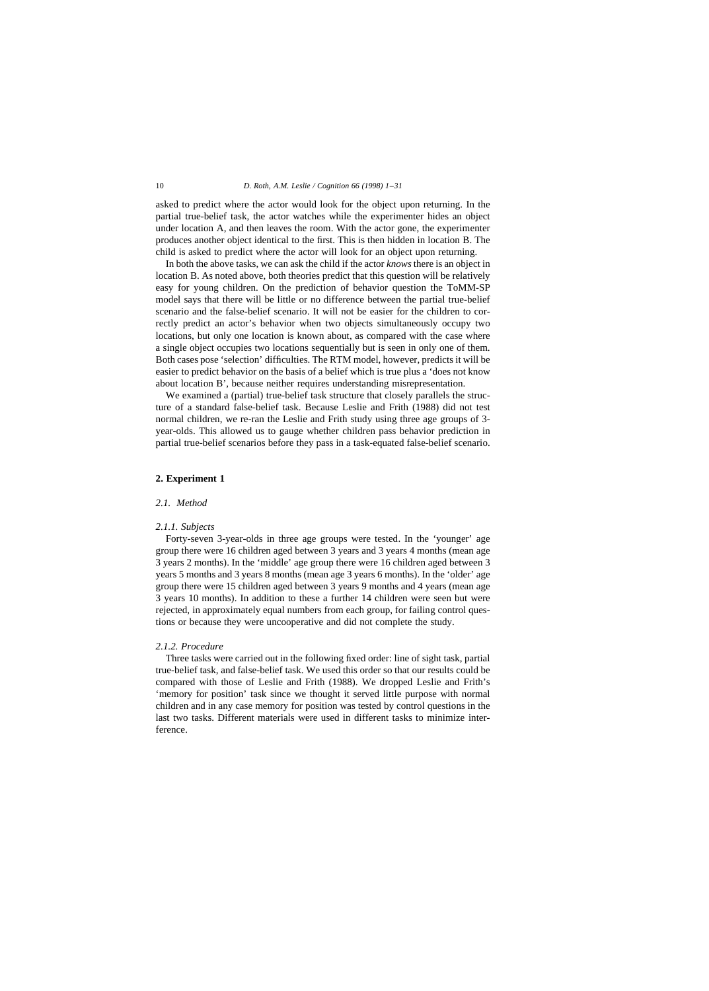asked to predict where the actor would look for the object upon returning. In the partial true-belief task, the actor watches while the experimenter hides an object under location A, and then leaves the room. With the actor gone, the experimenter produces another object identical to the first. This is then hidden in location B. The child is asked to predict where the actor will look for an object upon returning.

In both the above tasks, we can ask the child if the actor *knows* there is an object in location B. As noted above, both theories predict that this question will be relatively easy for young children. On the prediction of behavior question the ToMM-SP model says that there will be little or no difference between the partial true-belief scenario and the false-belief scenario. It will not be easier for the children to correctly predict an actor's behavior when two objects simultaneously occupy two locations, but only one location is known about, as compared with the case where a single object occupies two locations sequentially but is seen in only one of them. Both cases pose 'selection' difficulties. The RTM model, however, predicts it will be easier to predict behavior on the basis of a belief which is true plus a 'does not know about location B', because neither requires understanding misrepresentation.

We examined a (partial) true-belief task structure that closely parallels the structure of a standard false-belief task. Because Leslie and Frith (1988) did not test normal children, we re-ran the Leslie and Frith study using three age groups of 3 year-olds. This allowed us to gauge whether children pass behavior prediction in partial true-belief scenarios before they pass in a task-equated false-belief scenario.

## **2. Experiment 1**

#### *2.1. Method*

## *2.1.1. Subjects*

Forty-seven 3-year-olds in three age groups were tested. In the 'younger' age group there were 16 children aged between 3 years and 3 years 4 months (mean age 3 years 2 months). In the 'middle' age group there were 16 children aged between 3 years 5 months and 3 years 8 months (mean age 3 years 6 months). In the 'older' age group there were 15 children aged between 3 years 9 months and 4 years (mean age 3 years 10 months). In addition to these a further 14 children were seen but were rejected, in approximately equal numbers from each group, for failing control questions or because they were uncooperative and did not complete the study.

## *2.1.2. Procedure*

Three tasks were carried out in the following fixed order: line of sight task, partial true-belief task, and false-belief task. We used this order so that our results could be compared with those of Leslie and Frith (1988). We dropped Leslie and Frith's 'memory for position' task since we thought it served little purpose with normal children and in any case memory for position was tested by control questions in the last two tasks. Different materials were used in different tasks to minimize interference.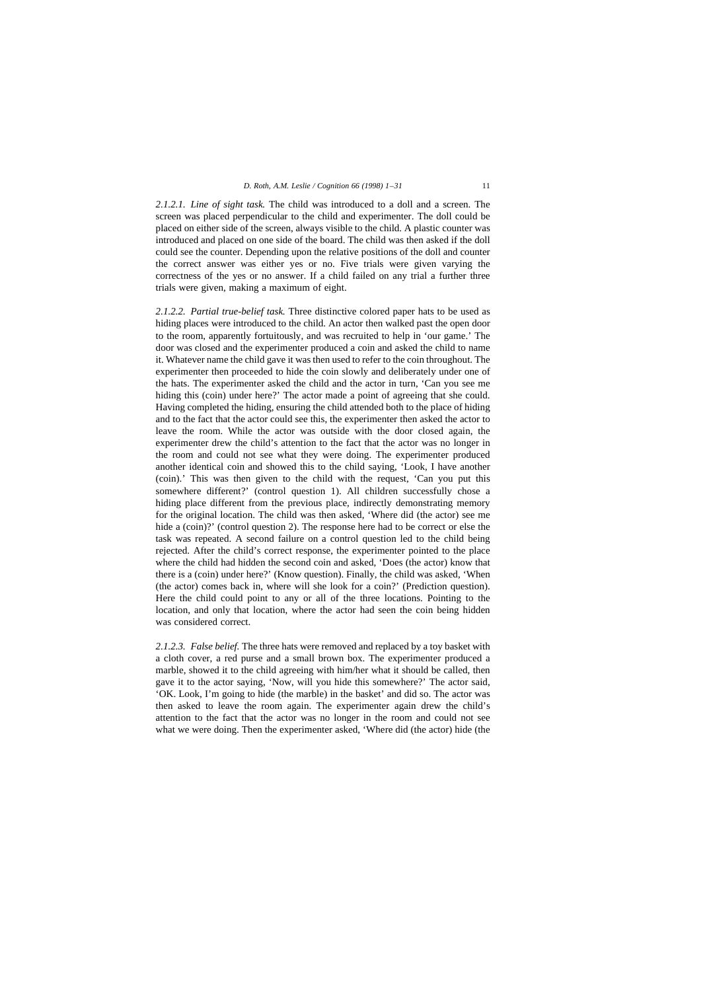*2.1.2.1. Line of sight task.* The child was introduced to a doll and a screen. The screen was placed perpendicular to the child and experimenter. The doll could be placed on either side of the screen, always visible to the child. A plastic counter was introduced and placed on one side of the board. The child was then asked if the doll could see the counter. Depending upon the relative positions of the doll and counter the correct answer was either yes or no. Five trials were given varying the correctness of the yes or no answer. If a child failed on any trial a further three trials were given, making a maximum of eight.

*2.1.2.2. Partial true-belief task.* Three distinctive colored paper hats to be used as hiding places were introduced to the child. An actor then walked past the open door to the room, apparently fortuitously, and was recruited to help in 'our game.' The door was closed and the experimenter produced a coin and asked the child to name it. Whatever name the child gave it was then used to refer to the coin throughout. The experimenter then proceeded to hide the coin slowly and deliberately under one of the hats. The experimenter asked the child and the actor in turn, 'Can you see me hiding this (coin) under here?' The actor made a point of agreeing that she could. Having completed the hiding, ensuring the child attended both to the place of hiding and to the fact that the actor could see this, the experimenter then asked the actor to leave the room. While the actor was outside with the door closed again, the experimenter drew the child's attention to the fact that the actor was no longer in the room and could not see what they were doing. The experimenter produced another identical coin and showed this to the child saying, 'Look, I have another (coin).' This was then given to the child with the request, 'Can you put this somewhere different?' (control question 1). All children successfully chose a hiding place different from the previous place, indirectly demonstrating memory for the original location. The child was then asked, 'Where did (the actor) see me hide a (coin)?' (control question 2). The response here had to be correct or else the task was repeated. A second failure on a control question led to the child being rejected. After the child's correct response, the experimenter pointed to the place where the child had hidden the second coin and asked, 'Does (the actor) know that there is a (coin) under here?' (Know question). Finally, the child was asked, 'When (the actor) comes back in, where will she look for a coin?' (Prediction question). Here the child could point to any or all of the three locations. Pointing to the location, and only that location, where the actor had seen the coin being hidden was considered correct.

*2.1.2.3. False belief.* The three hats were removed and replaced by a toy basket with a cloth cover, a red purse and a small brown box. The experimenter produced a marble, showed it to the child agreeing with him/her what it should be called, then gave it to the actor saying, 'Now, will you hide this somewhere?' The actor said, 'OK. Look, I'm going to hide (the marble) in the basket' and did so. The actor was then asked to leave the room again. The experimenter again drew the child's attention to the fact that the actor was no longer in the room and could not see what we were doing. Then the experimenter asked, 'Where did (the actor) hide (the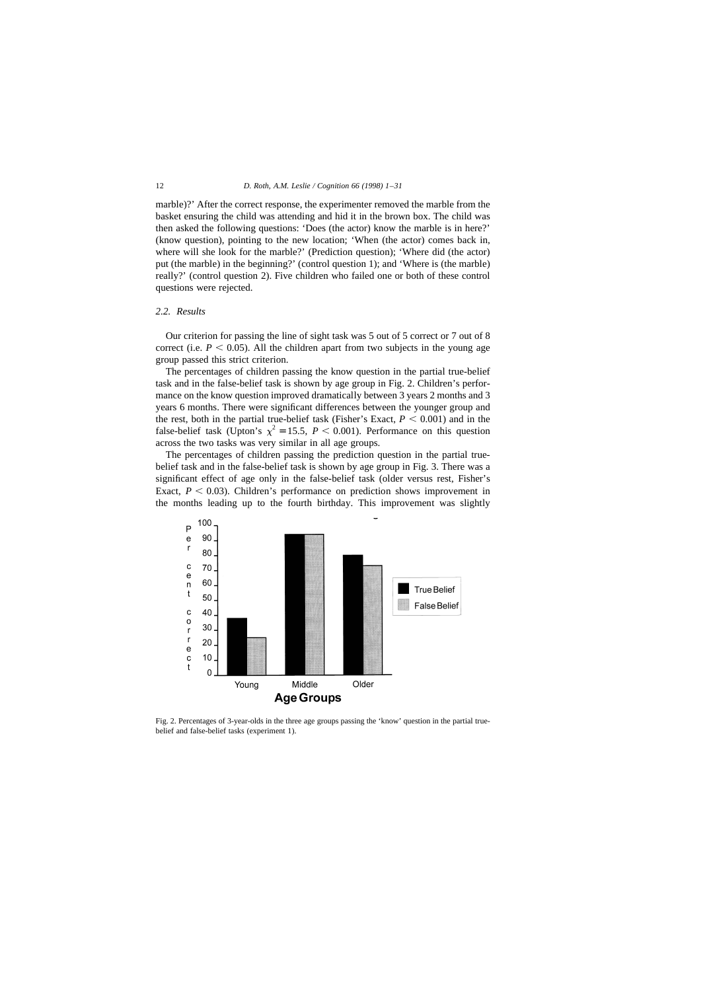marble)?' After the correct response, the experimenter removed the marble from the basket ensuring the child was attending and hid it in the brown box. The child was then asked the following questions: 'Does (the actor) know the marble is in here?' (know question), pointing to the new location; 'When (the actor) comes back in, where will she look for the marble?' (Prediction question); 'Where did (the actor) put (the marble) in the beginning?' (control question 1); and 'Where is (the marble) really?' (control question 2). Five children who failed one or both of these control questions were rejected.

## *2.2. Results*

Our criterion for passing the line of sight task was 5 out of 5 correct or 7 out of 8 correct (i.e.  $P < 0.05$ ). All the children apart from two subjects in the young age group passed this strict criterion.

The percentages of children passing the know question in the partial true-belief task and in the false-belief task is shown by age group in Fig. 2. Children's performance on the know question improved dramatically between 3 years 2 months and 3 years 6 months. There were significant differences between the younger group and the rest, both in the partial true-belief task (Fisher's Exact,  $P < 0.001$ ) and in the false-belief task (Upton's  $\chi^2 = 15.5$ ,  $P < 0.001$ ). Performance on this question across the two tasks was very similar in all age groups.

The percentages of children passing the prediction question in the partial truebelief task and in the false-belief task is shown by age group in Fig. 3. There was a significant effect of age only in the false-belief task (older versus rest, Fisher's Exact,  $P < 0.03$ ). Children's performance on prediction shows improvement in the months leading up to the fourth birthday. This improvement was slightly



Fig. 2. Percentages of 3-year-olds in the three age groups passing the 'know' question in the partial truebelief and false-belief tasks (experiment 1).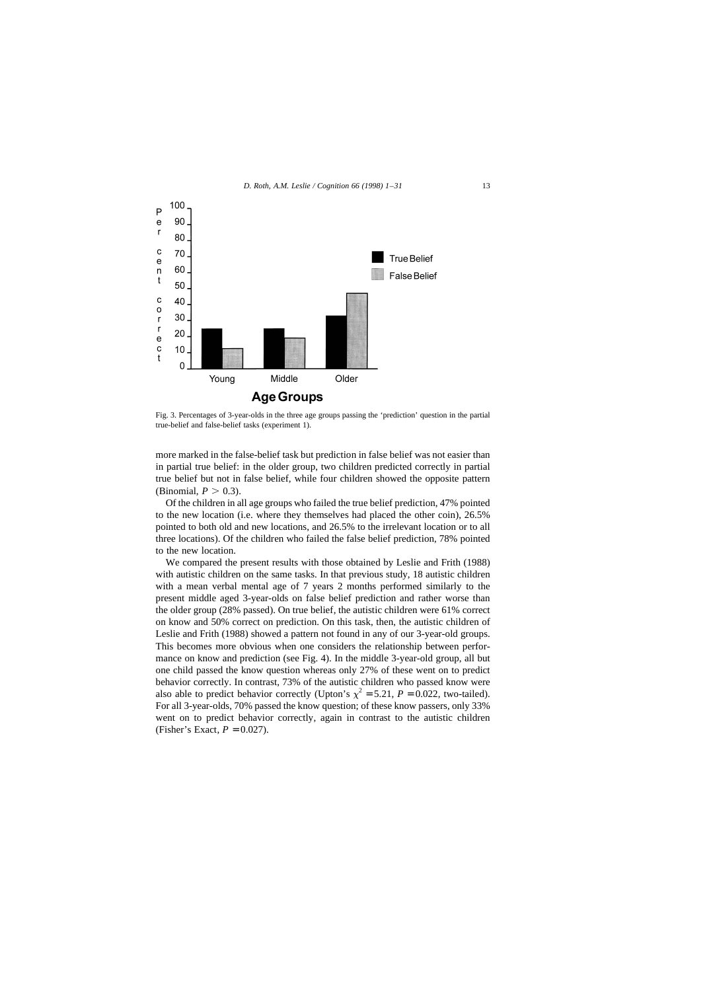

Fig. 3. Percentages of 3-year-olds in the three age groups passing the 'prediction' question in the partial true-belief and false-belief tasks (experiment 1).

more marked in the false-belief task but prediction in false belief was not easier than in partial true belief: in the older group, two children predicted correctly in partial true belief but not in false belief, while four children showed the opposite pattern (Binomial,  $P > 0.3$ ).

Of the children in all age groups who failed the true belief prediction, 47% pointed to the new location (i.e. where they themselves had placed the other coin), 26.5% pointed to both old and new locations, and 26.5% to the irrelevant location or to all three locations). Of the children who failed the false belief prediction, 78% pointed to the new location.

We compared the present results with those obtained by Leslie and Frith (1988) with autistic children on the same tasks. In that previous study, 18 autistic children with a mean verbal mental age of 7 years 2 months performed similarly to the present middle aged 3-year-olds on false belief prediction and rather worse than the older group (28% passed). On true belief, the autistic children were 61% correct on know and 50% correct on prediction. On this task, then, the autistic children of Leslie and Frith (1988) showed a pattern not found in any of our 3-year-old groups. This becomes more obvious when one considers the relationship between performance on know and prediction (see Fig. 4). In the middle 3-year-old group, all but one child passed the know question whereas only 27% of these went on to predict behavior correctly. In contrast, 73% of the autistic children who passed know were also able to predict behavior correctly (Upton's  $\chi^2 = 5.21$ ,  $P = 0.022$ , two-tailed). For all 3-year-olds, 70% passed the know question; of these know passers, only 33% went on to predict behavior correctly, again in contrast to the autistic children (Fisher's Exact,  $P = 0.027$ ).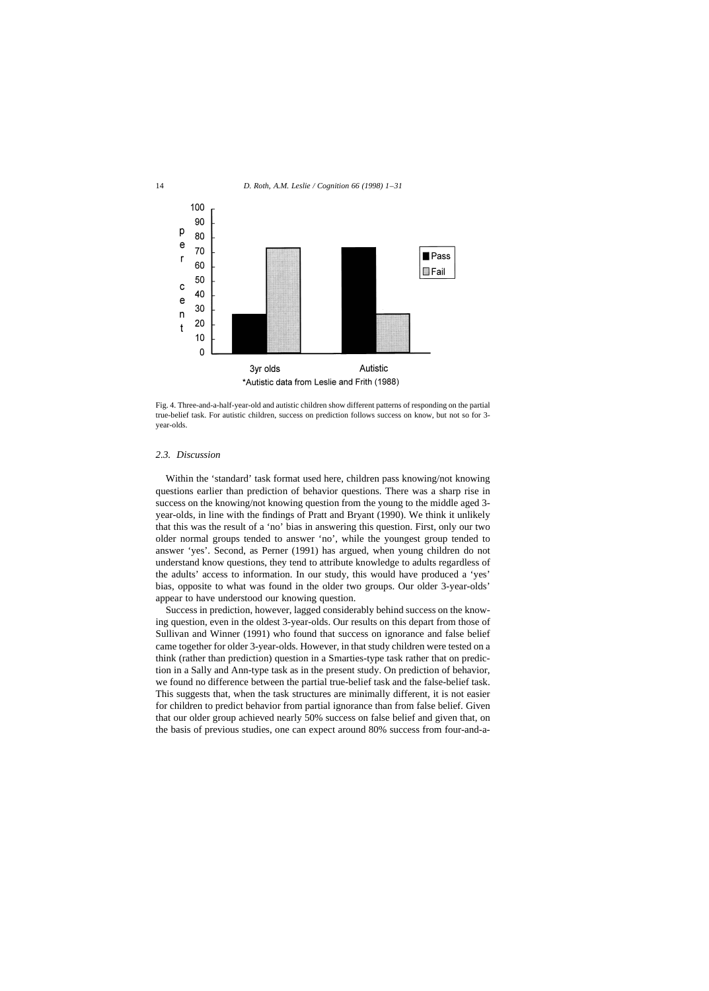

Fig. 4. Three-and-a-half-year-old and autistic children show different patterns of responding on the partial true-belief task. For autistic children, success on prediction follows success on know, but not so for 3 year-olds.

# *2.3. Discussion*

Within the 'standard' task format used here, children pass knowing/not knowing questions earlier than prediction of behavior questions. There was a sharp rise in success on the knowing/not knowing question from the young to the middle aged 3 year-olds, in line with the findings of Pratt and Bryant (1990). We think it unlikely that this was the result of a 'no' bias in answering this question. First, only our two older normal groups tended to answer 'no', while the youngest group tended to answer 'yes'. Second, as Perner (1991) has argued, when young children do not understand know questions, they tend to attribute knowledge to adults regardless of the adults' access to information. In our study, this would have produced a 'yes' bias, opposite to what was found in the older two groups. Our older 3-year-olds' appear to have understood our knowing question.

Success in prediction, however, lagged considerably behind success on the knowing question, even in the oldest 3-year-olds. Our results on this depart from those of Sullivan and Winner (1991) who found that success on ignorance and false belief came together for older 3-year-olds. However, in that study children were tested on a think (rather than prediction) question in a Smarties-type task rather that on prediction in a Sally and Ann-type task as in the present study. On prediction of behavior, we found no difference between the partial true-belief task and the false-belief task. This suggests that, when the task structures are minimally different, it is not easier for children to predict behavior from partial ignorance than from false belief. Given that our older group achieved nearly 50% success on false belief and given that, on the basis of previous studies, one can expect around 80% success from four-and-a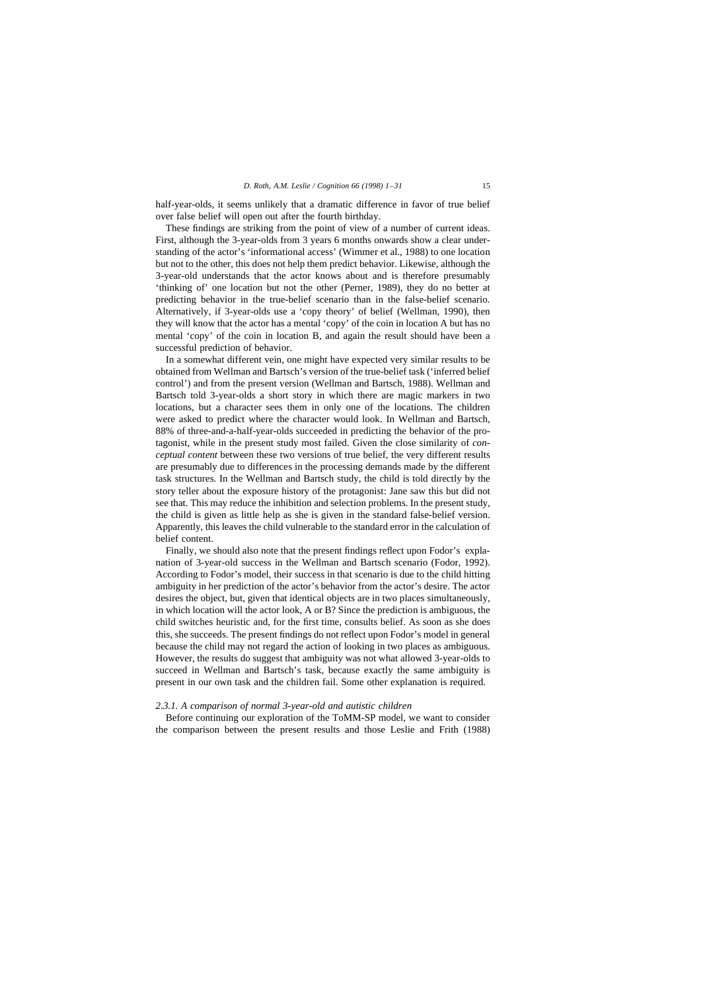half-year-olds, it seems unlikely that a dramatic difference in favor of true belief over false belief will open out after the fourth birthday.

These findings are striking from the point of view of a number of current ideas. First, although the 3-year-olds from 3 years 6 months onwards show a clear understanding of the actor's 'informational access' (Wimmer et al., 1988) to one location but not to the other, this does not help them predict behavior. Likewise, although the 3-year-old understands that the actor knows about and is therefore presumably 'thinking of' one location but not the other (Perner, 1989), they do no better at predicting behavior in the true-belief scenario than in the false-belief scenario. Alternatively, if 3-year-olds use a 'copy theory' of belief (Wellman, 1990), then they will know that the actor has a mental 'copy' of the coin in location A but has no mental 'copy' of the coin in location B, and again the result should have been a successful prediction of behavior.

In a somewhat different vein, one might have expected very similar results to be obtained from Wellman and Bartsch's version of the true-belief task ('inferred belief control') and from the present version (Wellman and Bartsch, 1988). Wellman and Bartsch told 3-year-olds a short story in which there are magic markers in two locations, but a character sees them in only one of the locations. The children were asked to predict where the character would look. In Wellman and Bartsch, 88% of three-and-a-half-year-olds succeeded in predicting the behavior of the protagonist, while in the present study most failed. Given the close similarity of *conceptual content* between these two versions of true belief, the very different results are presumably due to differences in the processing demands made by the different task structures. In the Wellman and Bartsch study, the child is told directly by the story teller about the exposure history of the protagonist: Jane saw this but did not see that. This may reduce the inhibition and selection problems. In the present study, the child is given as little help as she is given in the standard false-belief version. Apparently, this leaves the child vulnerable to the standard error in the calculation of belief content.

Finally, we should also note that the present findings reflect upon Fodor's explanation of 3-year-old success in the Wellman and Bartsch scenario (Fodor, 1992). According to Fodor's model, their success in that scenario is due to the child hitting ambiguity in her prediction of the actor's behavior from the actor's desire. The actor desires the object, but, given that identical objects are in two places simultaneously, in which location will the actor look, A or B? Since the prediction is ambiguous, the child switches heuristic and, for the first time, consults belief. As soon as she does this, she succeeds. The present findings do not reflect upon Fodor's model in general because the child may not regard the action of looking in two places as ambiguous. However, the results do suggest that ambiguity was not what allowed 3-year-olds to succeed in Wellman and Bartsch's task, because exactly the same ambiguity is present in our own task and the children fail. Some other explanation is required.

#### *2.3.1. A comparison of normal 3-year-old and autistic children*

Before continuing our exploration of the ToMM-SP model, we want to consider the comparison between the present results and those Leslie and Frith (1988)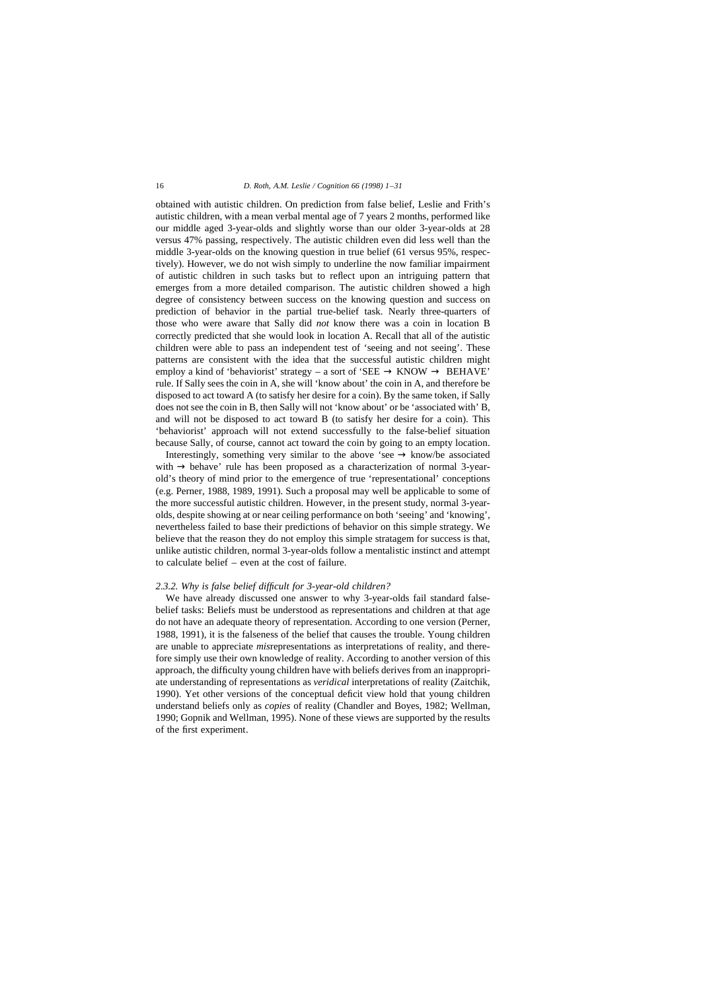obtained with autistic children. On prediction from false belief, Leslie and Frith's autistic children, with a mean verbal mental age of 7 years 2 months, performed like our middle aged 3-year-olds and slightly worse than our older 3-year-olds at 28 versus 47% passing, respectively. The autistic children even did less well than the middle 3-year-olds on the knowing question in true belief (61 versus 95%, respectively). However, we do not wish simply to underline the now familiar impairment of autistic children in such tasks but to reflect upon an intriguing pattern that emerges from a more detailed comparison. The autistic children showed a high degree of consistency between success on the knowing question and success on prediction of behavior in the partial true-belief task. Nearly three-quarters of those who were aware that Sally did *not* know there was a coin in location B correctly predicted that she would look in location A. Recall that all of the autistic children were able to pass an independent test of 'seeing and not seeing'. These patterns are consistent with the idea that the successful autistic children might employ a kind of 'behaviorist' strategy – a sort of 'SEE  $\rightarrow$  KNOW  $\rightarrow$  BEHAVE' rule. If Sally sees the coin in A, she will 'know about' the coin in A, and therefore be disposed to act toward A (to satisfy her desire for a coin). By the same token, if Sally does not see the coin in B, then Sally will not 'know about' or be 'associated with' B, and will not be disposed to act toward B (to satisfy her desire for a coin). This 'behaviorist' approach will not extend successfully to the false-belief situation because Sally, of course, cannot act toward the coin by going to an empty location.

Interestingly, something very similar to the above 'see  $\rightarrow$  know/be associated with  $\rightarrow$  behave' rule has been proposed as a characterization of normal 3-yearold's theory of mind prior to the emergence of true 'representational' conceptions (e.g. Perner, 1988, 1989, 1991). Such a proposal may well be applicable to some of the more successful autistic children. However, in the present study, normal 3-yearolds, despite showing at or near ceiling performance on both 'seeing' and 'knowing', nevertheless failed to base their predictions of behavior on this simple strategy. We believe that the reason they do not employ this simple stratagem for success is that, unlike autistic children, normal 3-year-olds follow a mentalistic instinct and attempt to calculate belief – even at the cost of failure.

## *2.3.2. Why is false belief difficult for 3-year-old children?*

We have already discussed one answer to why 3-year-olds fail standard falsebelief tasks: Beliefs must be understood as representations and children at that age do not have an adequate theory of representation. According to one version (Perner, 1988, 1991), it is the falseness of the belief that causes the trouble. Young children are unable to appreciate *mis*representations as interpretations of reality, and therefore simply use their own knowledge of reality. According to another version of this approach, the difficulty young children have with beliefs derives from an inappropriate understanding of representations as *veridical* interpretations of reality (Zaitchik, 1990). Yet other versions of the conceptual deficit view hold that young children understand beliefs only as *copies* of reality (Chandler and Boyes, 1982; Wellman, 1990; Gopnik and Wellman, 1995). None of these views are supported by the results of the first experiment.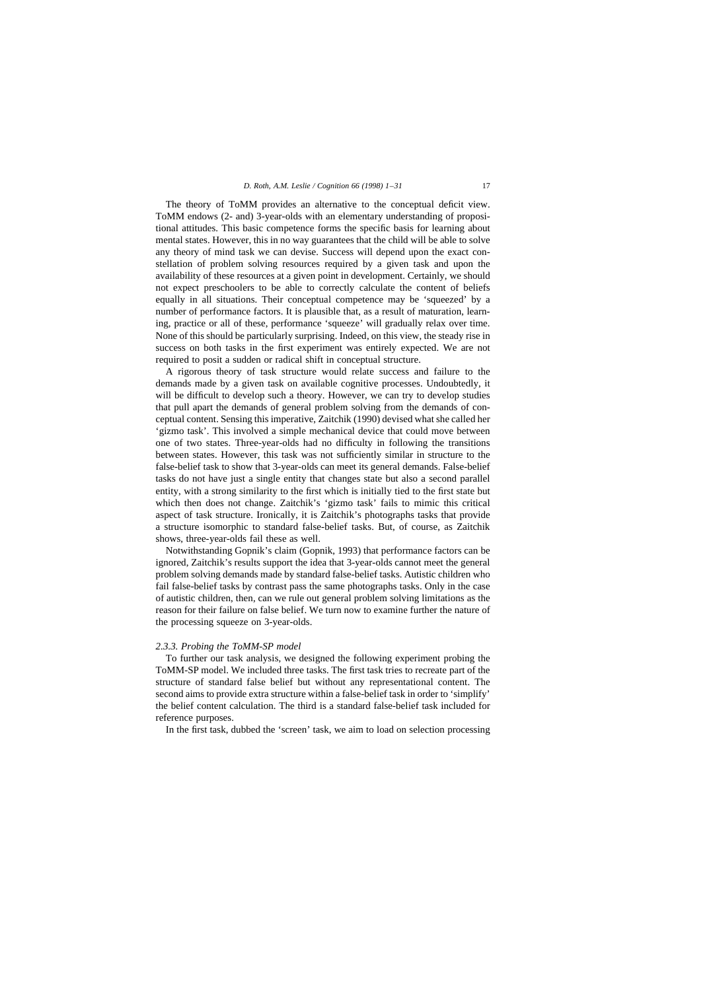The theory of ToMM provides an alternative to the conceptual deficit view. ToMM endows (2- and) 3-year-olds with an elementary understanding of propositional attitudes. This basic competence forms the specific basis for learning about mental states. However, this in no way guarantees that the child will be able to solve any theory of mind task we can devise. Success will depend upon the exact constellation of problem solving resources required by a given task and upon the availability of these resources at a given point in development. Certainly, we should not expect preschoolers to be able to correctly calculate the content of beliefs equally in all situations. Their conceptual competence may be 'squeezed' by a number of performance factors. It is plausible that, as a result of maturation, learning, practice or all of these, performance 'squeeze' will gradually relax over time. None of this should be particularly surprising. Indeed, on this view, the steady rise in success on both tasks in the first experiment was entirely expected. We are not required to posit a sudden or radical shift in conceptual structure.

A rigorous theory of task structure would relate success and failure to the demands made by a given task on available cognitive processes. Undoubtedly, it will be difficult to develop such a theory. However, we can try to develop studies that pull apart the demands of general problem solving from the demands of conceptual content. Sensing this imperative, Zaitchik (1990) devised what she called her 'gizmo task'. This involved a simple mechanical device that could move between one of two states. Three-year-olds had no difficulty in following the transitions between states. However, this task was not sufficiently similar in structure to the false-belief task to show that 3-year-olds can meet its general demands. False-belief tasks do not have just a single entity that changes state but also a second parallel entity, with a strong similarity to the first which is initially tied to the first state but which then does not change. Zaitchik's 'gizmo task' fails to mimic this critical aspect of task structure. Ironically, it is Zaitchik's photographs tasks that provide a structure isomorphic to standard false-belief tasks. But, of course, as Zaitchik shows, three-year-olds fail these as well.

Notwithstanding Gopnik's claim (Gopnik, 1993) that performance factors can be ignored, Zaitchik's results support the idea that 3-year-olds cannot meet the general problem solving demands made by standard false-belief tasks. Autistic children who fail false-belief tasks by contrast pass the same photographs tasks. Only in the case of autistic children, then, can we rule out general problem solving limitations as the reason for their failure on false belief. We turn now to examine further the nature of the processing squeeze on 3-year-olds.

## *2.3.3. Probing the ToMM-SP model*

To further our task analysis, we designed the following experiment probing the ToMM-SP model. We included three tasks. The first task tries to recreate part of the structure of standard false belief but without any representational content. The second aims to provide extra structure within a false-belief task in order to 'simplify' the belief content calculation. The third is a standard false-belief task included for reference purposes.

In the first task, dubbed the 'screen' task, we aim to load on selection processing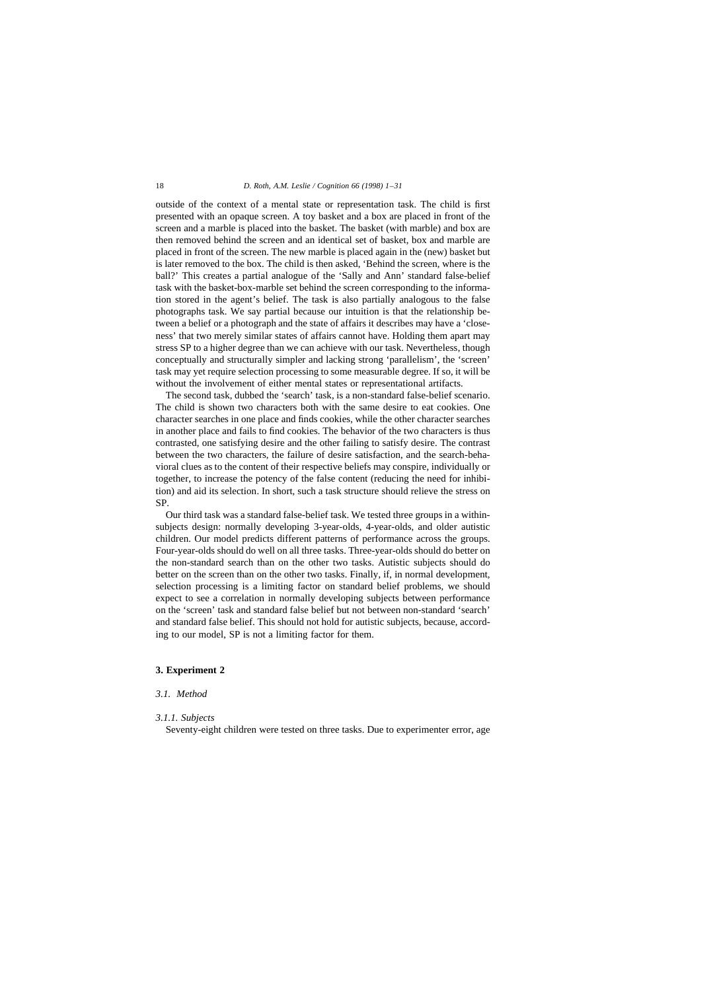outside of the context of a mental state or representation task. The child is first presented with an opaque screen. A toy basket and a box are placed in front of the screen and a marble is placed into the basket. The basket (with marble) and box are then removed behind the screen and an identical set of basket, box and marble are placed in front of the screen. The new marble is placed again in the (new) basket but is later removed to the box. The child is then asked, 'Behind the screen, where is the ball?' This creates a partial analogue of the 'Sally and Ann' standard false-belief task with the basket-box-marble set behind the screen corresponding to the information stored in the agent's belief. The task is also partially analogous to the false photographs task. We say partial because our intuition is that the relationship between a belief or a photograph and the state of affairs it describes may have a 'closeness' that two merely similar states of affairs cannot have. Holding them apart may stress SP to a higher degree than we can achieve with our task. Nevertheless, though conceptually and structurally simpler and lacking strong 'parallelism', the 'screen' task may yet require selection processing to some measurable degree. If so, it will be without the involvement of either mental states or representational artifacts.

The second task, dubbed the 'search' task, is a non-standard false-belief scenario. The child is shown two characters both with the same desire to eat cookies. One character searches in one place and finds cookies, while the other character searches in another place and fails to find cookies. The behavior of the two characters is thus contrasted, one satisfying desire and the other failing to satisfy desire. The contrast between the two characters, the failure of desire satisfaction, and the search-behavioral clues as to the content of their respective beliefs may conspire, individually or together, to increase the potency of the false content (reducing the need for inhibition) and aid its selection. In short, such a task structure should relieve the stress on SP.

Our third task was a standard false-belief task. We tested three groups in a withinsubjects design: normally developing 3-year-olds, 4-year-olds, and older autistic children. Our model predicts different patterns of performance across the groups. Four-year-olds should do well on all three tasks. Three-year-olds should do better on the non-standard search than on the other two tasks. Autistic subjects should do better on the screen than on the other two tasks. Finally, if, in normal development, selection processing is a limiting factor on standard belief problems, we should expect to see a correlation in normally developing subjects between performance on the 'screen' task and standard false belief but not between non-standard 'search' and standard false belief. This should not hold for autistic subjects, because, according to our model, SP is not a limiting factor for them.

# **3. Experiment 2**

# *3.1. Method*

## *3.1.1. Subjects*

Seventy-eight children were tested on three tasks. Due to experimenter error, age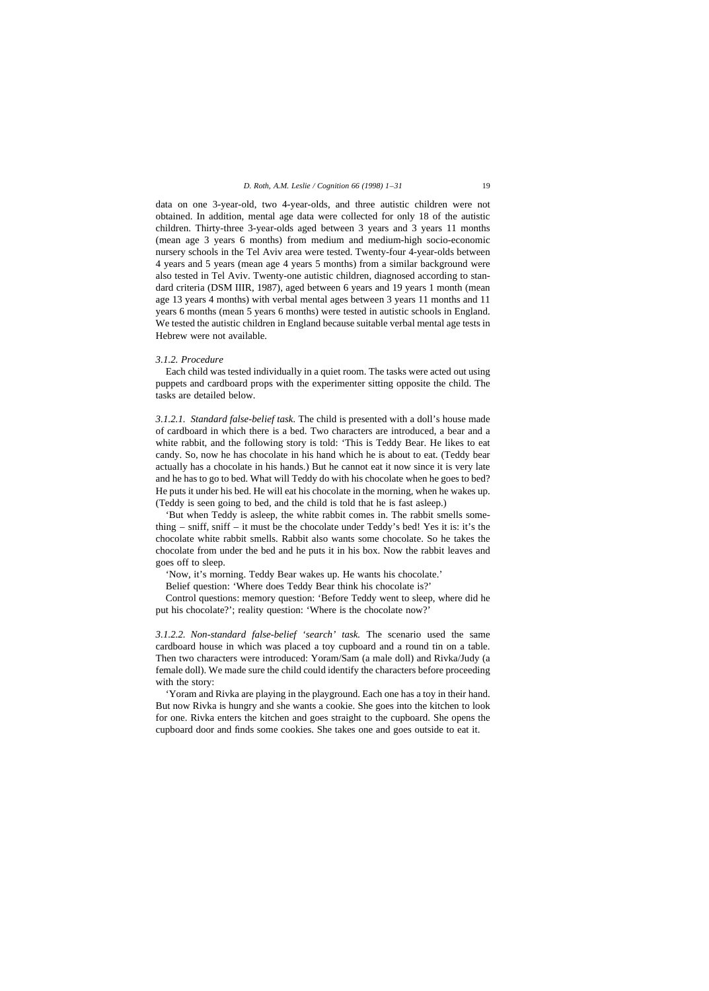data on one 3-year-old, two 4-year-olds, and three autistic children were not obtained. In addition, mental age data were collected for only 18 of the autistic children. Thirty-three 3-year-olds aged between 3 years and 3 years 11 months (mean age 3 years 6 months) from medium and medium-high socio-economic nursery schools in the Tel Aviv area were tested. Twenty-four 4-year-olds between 4 years and 5 years (mean age 4 years 5 months) from a similar background were also tested in Tel Aviv. Twenty-one autistic children, diagnosed according to standard criteria (DSM IIIR, 1987), aged between 6 years and 19 years 1 month (mean age 13 years 4 months) with verbal mental ages between 3 years 11 months and 11 years 6 months (mean 5 years 6 months) were tested in autistic schools in England. We tested the autistic children in England because suitable verbal mental age tests in Hebrew were not available.

## *3.1.2. Procedure*

Each child was tested individually in a quiet room. The tasks were acted out using puppets and cardboard props with the experimenter sitting opposite the child. The tasks are detailed below.

*3.1.2.1. Standard false-belief task.* The child is presented with a doll's house made of cardboard in which there is a bed. Two characters are introduced, a bear and a white rabbit, and the following story is told: 'This is Teddy Bear. He likes to eat candy. So, now he has chocolate in his hand which he is about to eat. (Teddy bear actually has a chocolate in his hands.) But he cannot eat it now since it is very late and he has to go to bed. What will Teddy do with his chocolate when he goes to bed? He puts it under his bed. He will eat his chocolate in the morning, when he wakes up. (Teddy is seen going to bed, and the child is told that he is fast asleep.)

'But when Teddy is asleep, the white rabbit comes in. The rabbit smells something – sniff, sniff – it must be the chocolate under Teddy's bed! Yes it is: it's the chocolate white rabbit smells. Rabbit also wants some chocolate. So he takes the chocolate from under the bed and he puts it in his box. Now the rabbit leaves and goes off to sleep.

'Now, it's morning. Teddy Bear wakes up. He wants his chocolate.'

Belief question: 'Where does Teddy Bear think his chocolate is?'

Control questions: memory question: 'Before Teddy went to sleep, where did he put his chocolate?'; reality question: 'Where is the chocolate now?'

*3.1.2.2. Non-standard false-belief 'search' task.* The scenario used the same cardboard house in which was placed a toy cupboard and a round tin on a table. Then two characters were introduced: Yoram/Sam (a male doll) and Rivka/Judy (a female doll). We made sure the child could identify the characters before proceeding with the story:

'Yoram and Rivka are playing in the playground. Each one has a toy in their hand. But now Rivka is hungry and she wants a cookie. She goes into the kitchen to look for one. Rivka enters the kitchen and goes straight to the cupboard. She opens the cupboard door and finds some cookies. She takes one and goes outside to eat it.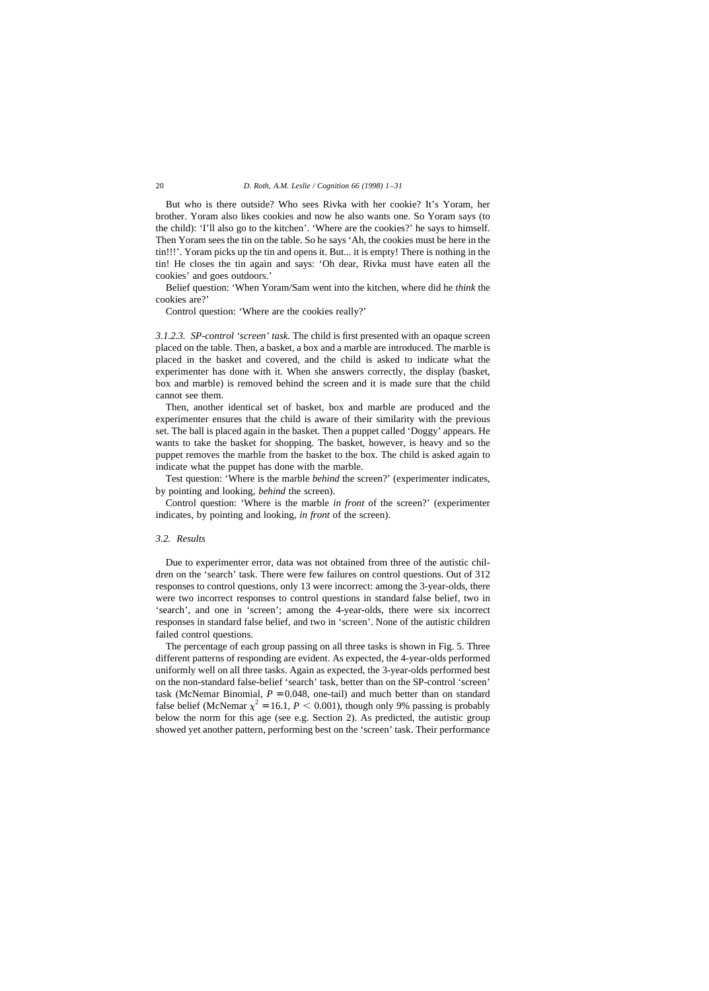But who is there outside? Who sees Rivka with her cookie? It's Yoram, her brother. Yoram also likes cookies and now he also wants one. So Yoram says (to the child): 'I'll also go to the kitchen'. 'Where are the cookies?' he says to himself. Then Yoram sees the tin on the table. So he says 'Ah, the cookies must be here in the tin!!!'. Yoram picks up the tin and opens it. But... it is empty! There is nothing in the tin! He closes the tin again and says: 'Oh dear, Rivka must have eaten all the cookies' and goes outdoors.'

Belief question: 'When Yoram/Sam went into the kitchen, where did he *think* the cookies are?'

Control question: 'Where are the cookies really?'

*3.1.2.3. SP-control 'screen' task.* The child is first presented with an opaque screen placed on the table. Then, a basket, a box and a marble are introduced. The marble is placed in the basket and covered, and the child is asked to indicate what the experimenter has done with it. When she answers correctly, the display (basket, box and marble) is removed behind the screen and it is made sure that the child cannot see them.

Then, another identical set of basket, box and marble are produced and the experimenter ensures that the child is aware of their similarity with the previous set. The ball is placed again in the basket. Then a puppet called 'Doggy' appears. He wants to take the basket for shopping. The basket, however, is heavy and so the puppet removes the marble from the basket to the box. The child is asked again to indicate what the puppet has done with the marble.

Test question: 'Where is the marble *behind* the screen?' (experimenter indicates, by pointing and looking, *behind* the screen).

Control question: 'Where is the marble *in front* of the screen?' (experimenter indicates, by pointing and looking, *in front* of the screen).

#### *3.2. Results*

Due to experimenter error, data was not obtained from three of the autistic children on the 'search' task. There were few failures on control questions. Out of 312 responses to control questions, only 13 were incorrect: among the 3-year-olds, there were two incorrect responses to control questions in standard false belief, two in 'search', and one in 'screen'; among the 4-year-olds, there were six incorrect responses in standard false belief, and two in 'screen'. None of the autistic children failed control questions.

The percentage of each group passing on all three tasks is shown in Fig. 5. Three different patterns of responding are evident. As expected, the 4-year-olds performed uniformly well on all three tasks. Again as expected, the 3-year-olds performed best on the non-standard false-belief 'search' task, better than on the SP-control 'screen' task (McNemar Binomial,  $P = 0.048$ , one-tail) and much better than on standard false belief (McNemar  $\chi^2 = 16.1$ ,  $P < 0.001$ ), though only 9% passing is probably below the norm for this age (see e.g. Section 2). As predicted, the autistic group showed yet another pattern, performing best on the 'screen' task. Their performance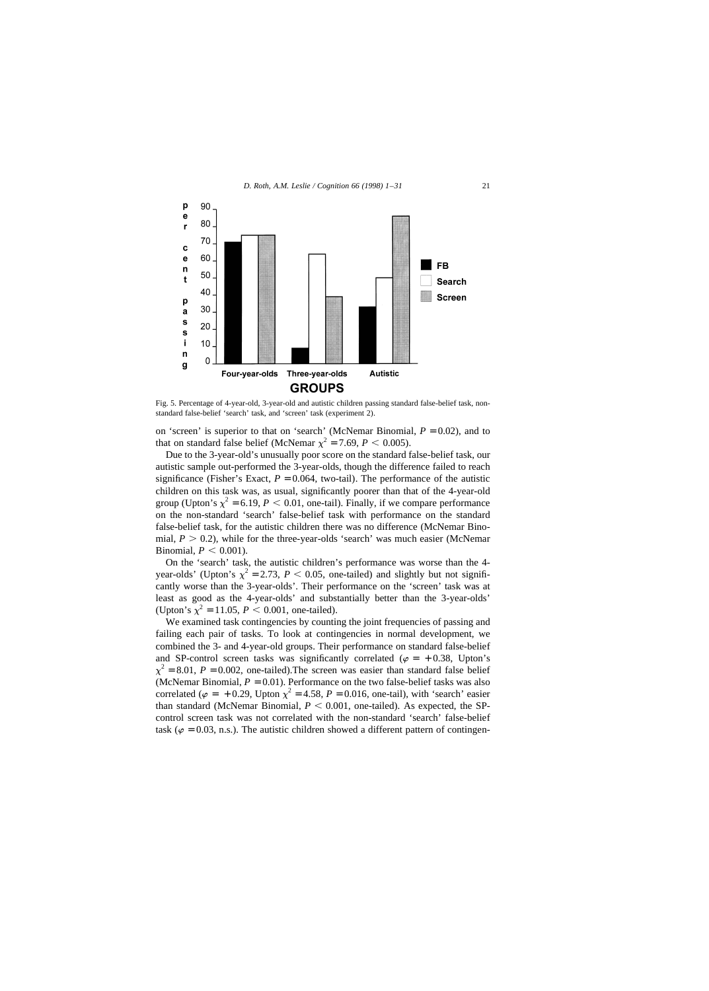

Fig. 5. Percentage of 4-year-old, 3-year-old and autistic children passing standard false-belief task, nonstandard false-belief 'search' task, and 'screen' task (experiment 2).

on 'screen' is superior to that on 'search' (McNemar Binomial,  $P = 0.02$ ), and to that on standard false belief (McNemar  $\chi^2 = 7.69$ ,  $P < 0.005$ ).

Due to the 3-year-old's unusually poor score on the standard false-belief task, our autistic sample out-performed the 3-year-olds, though the difference failed to reach significance (Fisher's Exact,  $P = 0.064$ , two-tail). The performance of the autistic children on this task was, as usual, significantly poorer than that of the 4-year-old group (Upton's  $\chi^2$  = 6.19, *P* < 0.01, one-tail). Finally, if we compare performance on the non-standard 'search' false-belief task with performance on the standard false-belief task, for the autistic children there was no difference (McNemar Binomial,  $P > 0.2$ ), while for the three-year-olds 'search' was much easier (McNemar Binomial,  $P < 0.001$ ).

On the 'search' task, the autistic children's performance was worse than the 4 year-olds' (Upton's  $\chi^2 = 2.73$ ,  $P < 0.05$ , one-tailed) and slightly but not significantly worse than the 3-year-olds'. Their performance on the 'screen' task was at least as good as the 4-year-olds' and substantially better than the 3-year-olds' (Upton's  $\chi^2 = 11.05$ ,  $P < 0.001$ , one-tailed).

We examined task contingencies by counting the joint frequencies of passing and failing each pair of tasks. To look at contingencies in normal development, we combined the 3- and 4-year-old groups. Their performance on standard false-belief and SP-control screen tasks was significantly correlated ( $\varphi = +0.38$ , Upton's  $\chi^2 = 8.01$ ,  $P = 0.002$ , one-tailed). The screen was easier than standard false belief (McNemar Binomial,  $P = 0.01$ ). Performance on the two false-belief tasks was also correlated ( $\varphi = +0.29$ , Upton  $\chi^2 = 4.58$ ,  $P = 0.016$ , one-tail), with 'search' easier than standard (McNemar Binomial,  $P < 0.001$ , one-tailed). As expected, the SPcontrol screen task was not correlated with the non-standard 'search' false-belief task ( $\varphi$  = 0.03, n.s.). The autistic children showed a different pattern of contingen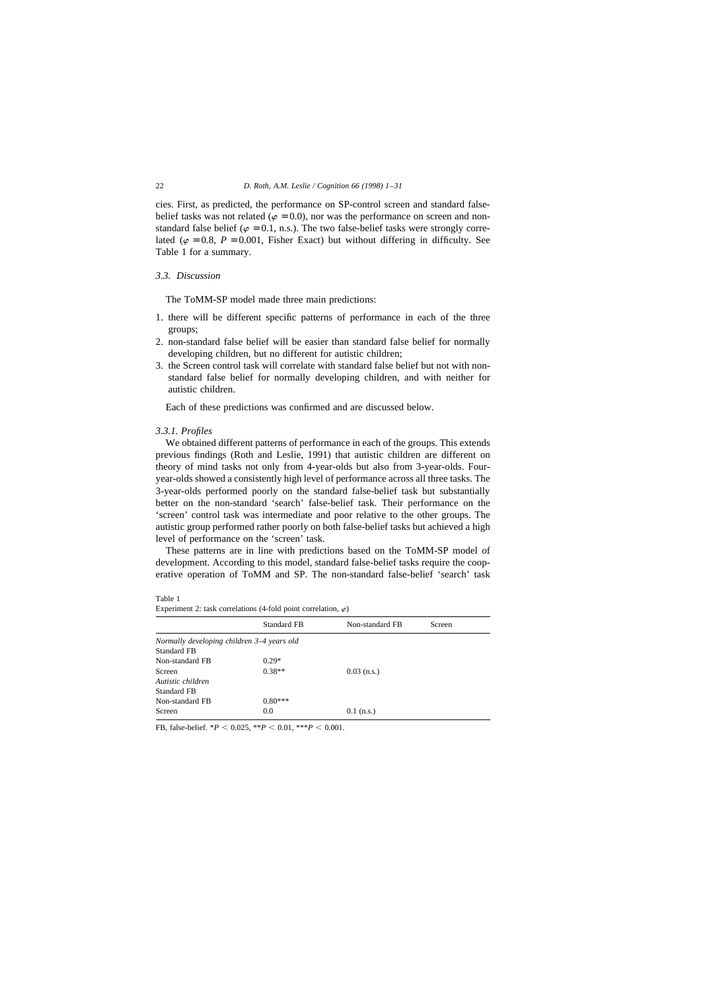cies. First, as predicted, the performance on SP-control screen and standard falsebelief tasks was not related ( $\varphi = 0.0$ ), nor was the performance on screen and nonstandard false belief ( $\varphi = 0.1$ , n.s.). The two false-belief tasks were strongly correlated ( $\varphi = 0.8$ ,  $P = 0.001$ , Fisher Exact) but without differing in difficulty. See Table 1 for a summary.

# *3.3. Discussion*

The ToMM-SP model made three main predictions:

- 1. there will be different specific patterns of performance in each of the three groups;
- 2. non-standard false belief will be easier than standard false belief for normally developing children, but no different for autistic children;
- 3. the Screen control task will correlate with standard false belief but not with nonstandard false belief for normally developing children, and with neither for autistic children.

Each of these predictions was confirmed and are discussed below.

#### *3.3.1. Profiles*

Table 1

We obtained different patterns of performance in each of the groups. This extends previous findings (Roth and Leslie, 1991) that autistic children are different on theory of mind tasks not only from 4-year-olds but also from 3-year-olds. Fouryear-olds showed a consistently high level of performance across all three tasks. The 3-year-olds performed poorly on the standard false-belief task but substantially better on the non-standard 'search' false-belief task. Their performance on the 'screen' control task was intermediate and poor relative to the other groups. The autistic group performed rather poorly on both false-belief tasks but achieved a high level of performance on the 'screen' task.

These patterns are in line with predictions based on the ToMM-SP model of development. According to this model, standard false-belief tasks require the cooperative operation of ToMM and SP. The non-standard false-belief 'search' task

|                                            | Standard FB | Non-standard FB | Screen |
|--------------------------------------------|-------------|-----------------|--------|
|                                            |             |                 |        |
| Normally developing children 3–4 years old |             |                 |        |
| Standard FB                                |             |                 |        |
| Non-standard FB                            | $0.29*$     |                 |        |
| Screen                                     | $0.38**$    | $0.03$ (n.s.)   |        |
| Autistic children                          |             |                 |        |
| Standard FB                                |             |                 |        |
| Non-standard FB                            | $0.80***$   |                 |        |
| Screen                                     | 0.0         | $0.1$ (n.s.)    |        |

|  | Experiment 2: task correlations (4-fold point correlation, $\varphi$ ) |  |  |
|--|------------------------------------------------------------------------|--|--|

FB, false-belief.  $*P < 0.025$ ,  $**P < 0.01$ ,  $***P < 0.001$ .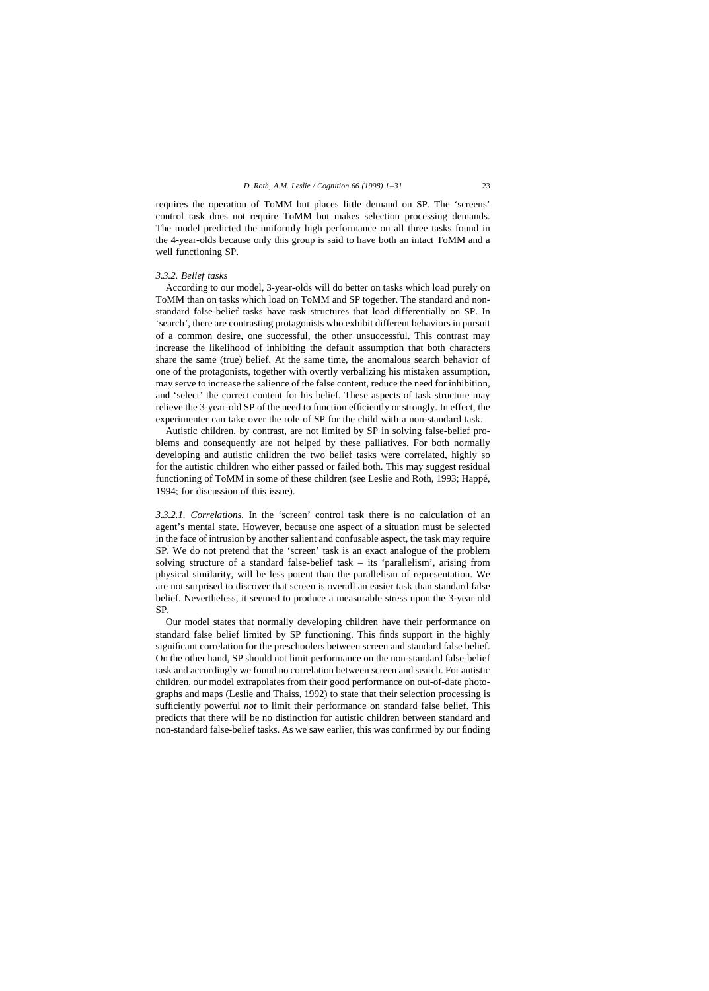requires the operation of ToMM but places little demand on SP. The 'screens' control task does not require ToMM but makes selection processing demands. The model predicted the uniformly high performance on all three tasks found in the 4-year-olds because only this group is said to have both an intact ToMM and a well functioning SP.

#### *3.3.2. Belief tasks*

According to our model, 3-year-olds will do better on tasks which load purely on ToMM than on tasks which load on ToMM and SP together. The standard and nonstandard false-belief tasks have task structures that load differentially on SP. In 'search', there are contrasting protagonists who exhibit different behaviors in pursuit of a common desire, one successful, the other unsuccessful. This contrast may increase the likelihood of inhibiting the default assumption that both characters share the same (true) belief. At the same time, the anomalous search behavior of one of the protagonists, together with overtly verbalizing his mistaken assumption, may serve to increase the salience of the false content, reduce the need for inhibition, and 'select' the correct content for his belief. These aspects of task structure may relieve the 3-year-old SP of the need to function efficiently or strongly. In effect, the experimenter can take over the role of SP for the child with a non-standard task.

Autistic children, by contrast, are not limited by SP in solving false-belief problems and consequently are not helped by these palliatives. For both normally developing and autistic children the two belief tasks were correlated, highly so for the autistic children who either passed or failed both. This may suggest residual functioning of ToMM in some of these children (see Leslie and Roth, 1993; Happé, 1994; for discussion of this issue).

*3.3.2.1. Correlations.* In the 'screen' control task there is no calculation of an agent's mental state. However, because one aspect of a situation must be selected in the face of intrusion by another salient and confusable aspect, the task may require SP. We do not pretend that the 'screen' task is an exact analogue of the problem solving structure of a standard false-belief task – its 'parallelism', arising from physical similarity, will be less potent than the parallelism of representation. We are not surprised to discover that screen is overall an easier task than standard false belief. Nevertheless, it seemed to produce a measurable stress upon the 3-year-old SP.

Our model states that normally developing children have their performance on standard false belief limited by SP functioning. This finds support in the highly significant correlation for the preschoolers between screen and standard false belief. On the other hand, SP should not limit performance on the non-standard false-belief task and accordingly we found no correlation between screen and search. For autistic children, our model extrapolates from their good performance on out-of-date photographs and maps (Leslie and Thaiss, 1992) to state that their selection processing is sufficiently powerful *not* to limit their performance on standard false belief. This predicts that there will be no distinction for autistic children between standard and non-standard false-belief tasks. As we saw earlier, this was confirmed by our finding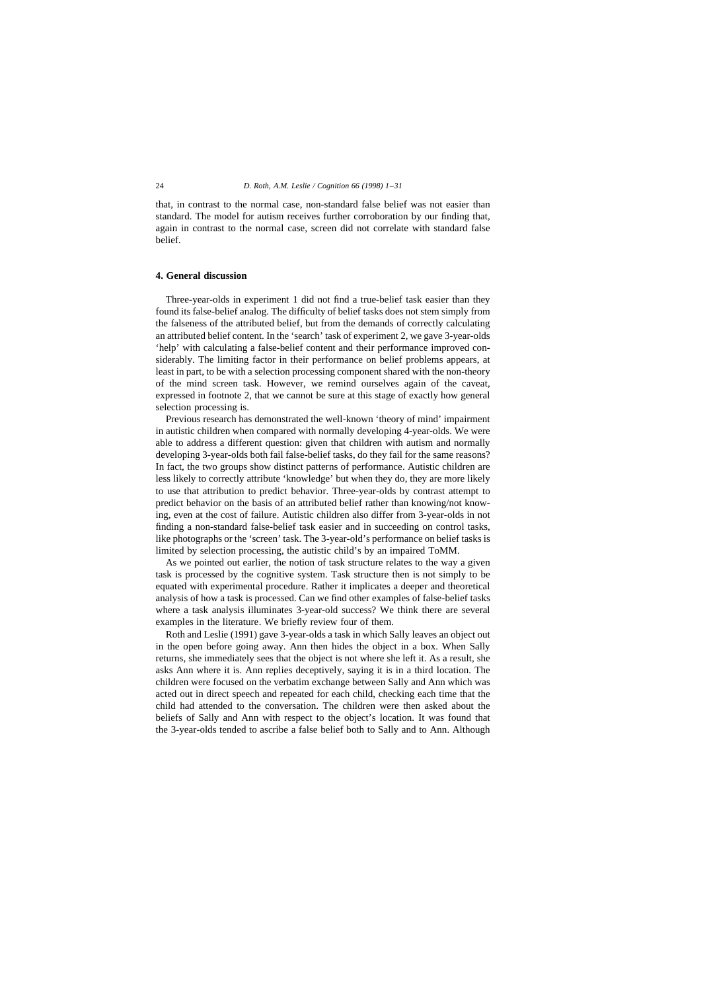that, in contrast to the normal case, non-standard false belief was not easier than standard. The model for autism receives further corroboration by our finding that, again in contrast to the normal case, screen did not correlate with standard false belief.

#### **4. General discussion**

Three-year-olds in experiment 1 did not find a true-belief task easier than they found its false-belief analog. The difficulty of belief tasks does not stem simply from the falseness of the attributed belief, but from the demands of correctly calculating an attributed belief content. In the 'search' task of experiment 2, we gave 3-year-olds 'help' with calculating a false-belief content and their performance improved considerably. The limiting factor in their performance on belief problems appears, at least in part, to be with a selection processing component shared with the non-theory of the mind screen task. However, we remind ourselves again of the caveat, expressed in footnote 2, that we cannot be sure at this stage of exactly how general selection processing is.

Previous research has demonstrated the well-known 'theory of mind' impairment in autistic children when compared with normally developing 4-year-olds. We were able to address a different question: given that children with autism and normally developing 3-year-olds both fail false-belief tasks, do they fail for the same reasons? In fact, the two groups show distinct patterns of performance. Autistic children are less likely to correctly attribute 'knowledge' but when they do, they are more likely to use that attribution to predict behavior. Three-year-olds by contrast attempt to predict behavior on the basis of an attributed belief rather than knowing/not knowing, even at the cost of failure. Autistic children also differ from 3-year-olds in not finding a non-standard false-belief task easier and in succeeding on control tasks, like photographs or the 'screen' task. The 3-year-old's performance on belief tasks is limited by selection processing, the autistic child's by an impaired ToMM.

As we pointed out earlier, the notion of task structure relates to the way a given task is processed by the cognitive system. Task structure then is not simply to be equated with experimental procedure. Rather it implicates a deeper and theoretical analysis of how a task is processed. Can we find other examples of false-belief tasks where a task analysis illuminates 3-year-old success? We think there are several examples in the literature. We briefly review four of them.

Roth and Leslie (1991) gave 3-year-olds a task in which Sally leaves an object out in the open before going away. Ann then hides the object in a box. When Sally returns, she immediately sees that the object is not where she left it. As a result, she asks Ann where it is. Ann replies deceptively, saying it is in a third location. The children were focused on the verbatim exchange between Sally and Ann which was acted out in direct speech and repeated for each child, checking each time that the child had attended to the conversation. The children were then asked about the beliefs of Sally and Ann with respect to the object's location. It was found that the 3-year-olds tended to ascribe a false belief both to Sally and to Ann. Although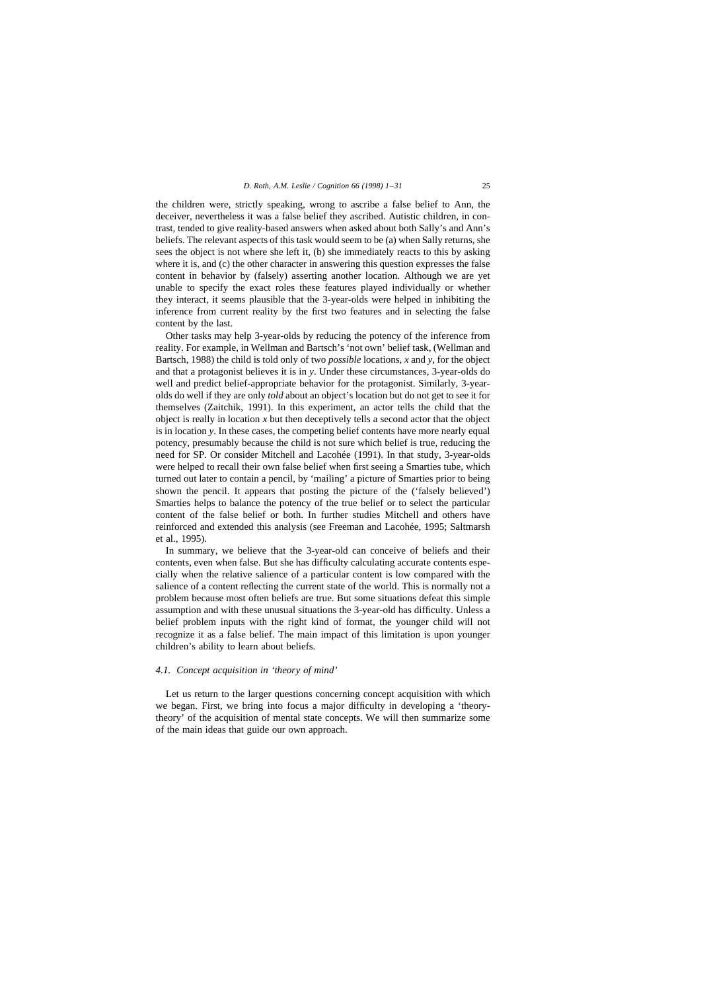the children were, strictly speaking, wrong to ascribe a false belief to Ann, the deceiver, nevertheless it was a false belief they ascribed. Autistic children, in contrast, tended to give reality-based answers when asked about both Sally's and Ann's beliefs. The relevant aspects of this task would seem to be (a) when Sally returns, she sees the object is not where she left it, (b) she immediately reacts to this by asking where it is, and (c) the other character in answering this question expresses the false content in behavior by (falsely) asserting another location. Although we are yet unable to specify the exact roles these features played individually or whether they interact, it seems plausible that the 3-year-olds were helped in inhibiting the inference from current reality by the first two features and in selecting the false content by the last.

Other tasks may help 3-year-olds by reducing the potency of the inference from reality. For example, in Wellman and Bartsch's 'not own' belief task, (Wellman and Bartsch, 1988) the child is told only of two *possible* locations, *x* and *y*, for the object and that a protagonist believes it is in *y*. Under these circumstances, 3-year-olds do well and predict belief-appropriate behavior for the protagonist. Similarly, 3-yearolds do well if they are only *told* about an object's location but do not get to see it for themselves (Zaitchik, 1991). In this experiment, an actor tells the child that the object is really in location  $x$  but then deceptively tells a second actor that the object is in location *y*. In these cases, the competing belief contents have more nearly equal potency, presumably because the child is not sure which belief is true, reducing the need for SP. Or consider Mitchell and Lacohée (1991). In that study, 3-year-olds were helped to recall their own false belief when first seeing a Smarties tube, which turned out later to contain a pencil, by 'mailing' a picture of Smarties prior to being shown the pencil. It appears that posting the picture of the ('falsely believed') Smarties helps to balance the potency of the true belief or to select the particular content of the false belief or both. In further studies Mitchell and others have reinforced and extended this analysis (see Freeman and Lacohée, 1995; Saltmarsh et al., 1995).

In summary, we believe that the 3-year-old can conceive of beliefs and their contents, even when false. But she has difficulty calculating accurate contents especially when the relative salience of a particular content is low compared with the salience of a content reflecting the current state of the world. This is normally not a problem because most often beliefs are true. But some situations defeat this simple assumption and with these unusual situations the 3-year-old has difficulty. Unless a belief problem inputs with the right kind of format, the younger child will not recognize it as a false belief. The main impact of this limitation is upon younger children's ability to learn about beliefs.

# *4.1. Concept acquisition in 'theory of mind'*

Let us return to the larger questions concerning concept acquisition with which we began. First, we bring into focus a major difficulty in developing a 'theorytheory' of the acquisition of mental state concepts. We will then summarize some of the main ideas that guide our own approach.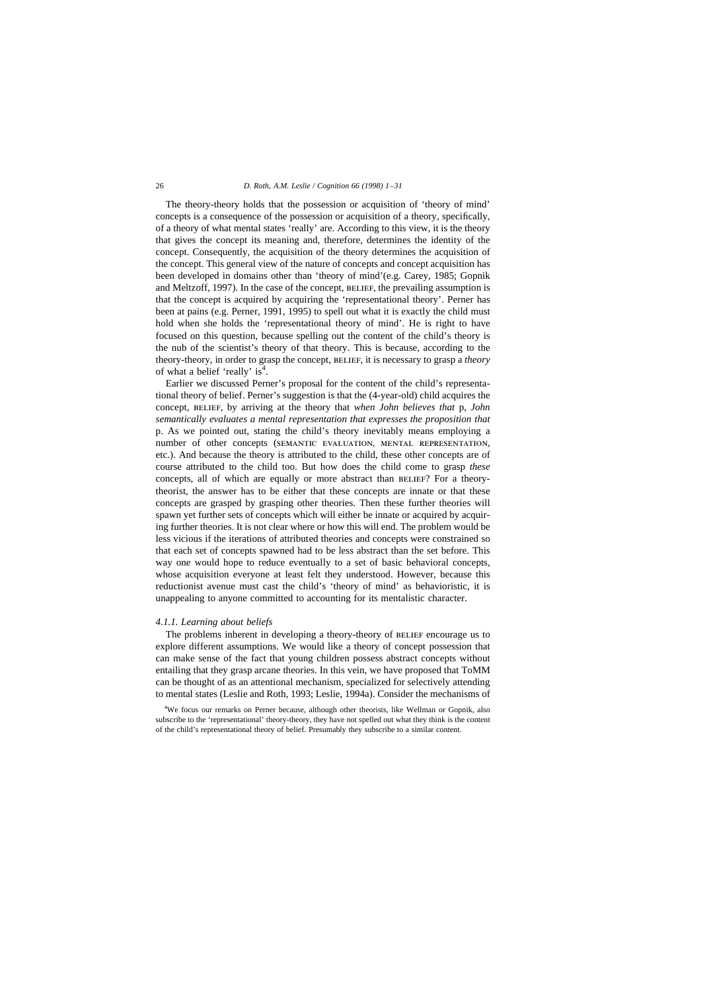The theory-theory holds that the possession or acquisition of 'theory of mind' concepts is a consequence of the possession or acquisition of a theory, specifically, of a theory of what mental states 'really' are. According to this view, it is the theory that gives the concept its meaning and, therefore, determines the identity of the concept. Consequently, the acquisition of the theory determines the acquisition of the concept. This general view of the nature of concepts and concept acquisition has been developed in domains other than 'theory of mind'(e.g. Carey, 1985; Gopnik and Meltzoff, 1997). In the case of the concept, BELIEF, the prevailing assumption is that the concept is acquired by acquiring the 'representational theory'. Perner has been at pains (e.g. Perner, 1991, 1995) to spell out what it is exactly the child must hold when she holds the 'representational theory of mind'. He is right to have focused on this question, because spelling out the content of the child's theory is the nub of the scientist's theory of that theory. This is because, according to the theory-theory, in order to grasp the concept, BELIEF, it is necessary to grasp a *theory* of what a belief 'really' is<sup>4</sup>.

Earlier we discussed Perner's proposal for the content of the child's representational theory of belief. Perner's suggestion is that the (4-year-old) child acquires the concept, BELIEF, by arriving at the theory that *when John believes that* p, *John semantically evaluates a mental representation that expresses the proposition that* p. As we pointed out, stating the child's theory inevitably means employing a number of other concepts (semantic evaluation, mental representation, etc.). And because the theory is attributed to the child, these other concepts are of course attributed to the child too. But how does the child come to grasp *these* concepts, all of which are equally or more abstract than BELIEF? For a theorytheorist, the answer has to be either that these concepts are innate or that these concepts are grasped by grasping other theories. Then these further theories will spawn yet further sets of concepts which will either be innate or acquired by acquiring further theories. It is not clear where or how this will end. The problem would be less vicious if the iterations of attributed theories and concepts were constrained so that each set of concepts spawned had to be less abstract than the set before. This way one would hope to reduce eventually to a set of basic behavioral concepts, whose acquisition everyone at least felt they understood. However, because this reductionist avenue must cast the child's 'theory of mind' as behavioristic, it is unappealing to anyone committed to accounting for its mentalistic character.

# *4.1.1. Learning about beliefs*

The problems inherent in developing a theory-theory of BELIEF encourage us to explore different assumptions. We would like a theory of concept possession that can make sense of the fact that young children possess abstract concepts without entailing that they grasp arcane theories. In this vein, we have proposed that ToMM can be thought of as an attentional mechanism, specialized for selectively attending to mental states (Leslie and Roth, 1993; Leslie, 1994a). Consider the mechanisms of

<sup>&</sup>lt;sup>4</sup>We focus our remarks on Perner because, although other theorists, like Wellman or Gopnik, also subscribe to the 'representational' theory-theory, they have not spelled out what they think is the content of the child's representational theory of belief. Presumably they subscribe to a similar content.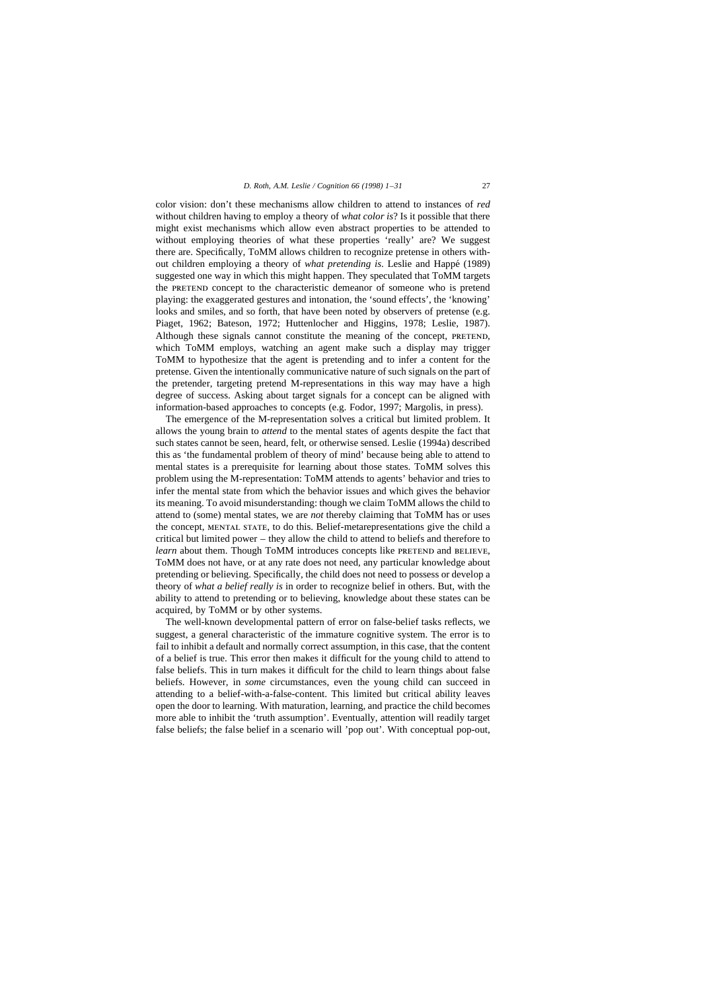color vision: don't these mechanisms allow children to attend to instances of *red* without children having to employ a theory of *what color is*? Is it possible that there might exist mechanisms which allow even abstract properties to be attended to without employing theories of what these properties 'really' are? We suggest there are. Specifically, ToMM allows children to recognize pretense in others without children employing a theory of *what pretending is*. Leslie and Happé (1989) suggested one way in which this might happen. They speculated that ToMM targets the PRETEND concept to the characteristic demeanor of someone who is pretend playing: the exaggerated gestures and intonation, the 'sound effects', the 'knowing' looks and smiles, and so forth, that have been noted by observers of pretense (e.g. Piaget, 1962; Bateson, 1972; Huttenlocher and Higgins, 1978; Leslie, 1987). Although these signals cannot constitute the meaning of the concept, pretend, which ToMM employs, watching an agent make such a display may trigger ToMM to hypothesize that the agent is pretending and to infer a content for the pretense. Given the intentionally communicative nature of such signals on the part of the pretender, targeting pretend M-representations in this way may have a high degree of success. Asking about target signals for a concept can be aligned with information-based approaches to concepts (e.g. Fodor, 1997; Margolis, in press).

The emergence of the M-representation solves a critical but limited problem. It allows the young brain to *attend* to the mental states of agents despite the fact that such states cannot be seen, heard, felt, or otherwise sensed. Leslie (1994a) described this as 'the fundamental problem of theory of mind' because being able to attend to mental states is a prerequisite for learning about those states. ToMM solves this problem using the M-representation: ToMM attends to agents' behavior and tries to infer the mental state from which the behavior issues and which gives the behavior its meaning. To avoid misunderstanding: though we claim ToMM allows the child to attend to (some) mental states, we are *not* thereby claiming that ToMM has or uses the concept, MENTAL STATE, to do this. Belief-metarepresentations give the child a critical but limited power – they allow the child to attend to beliefs and therefore to *learn* about them. Though ToMM introduces concepts like PRETEND and BELIEVE, ToMM does not have, or at any rate does not need, any particular knowledge about pretending or believing. Specifically, the child does not need to possess or develop a theory of *what a belief really is* in order to recognize belief in others. But, with the ability to attend to pretending or to believing, knowledge about these states can be acquired, by ToMM or by other systems.

The well-known developmental pattern of error on false-belief tasks reflects, we suggest, a general characteristic of the immature cognitive system. The error is to fail to inhibit a default and normally correct assumption, in this case, that the content of a belief is true. This error then makes it difficult for the young child to attend to false beliefs. This in turn makes it difficult for the child to learn things about false beliefs. However, in *some* circumstances, even the young child can succeed in attending to a belief-with-a-false-content. This limited but critical ability leaves open the door to learning. With maturation, learning, and practice the child becomes more able to inhibit the 'truth assumption'. Eventually, attention will readily target false beliefs; the false belief in a scenario will 'pop out'. With conceptual pop-out,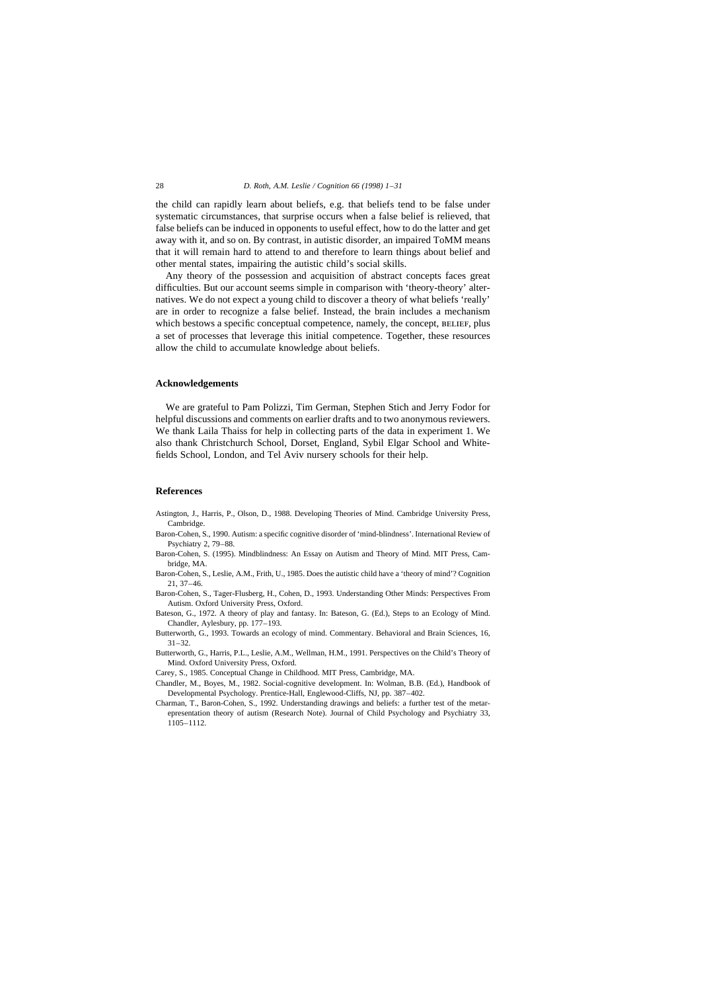the child can rapidly learn about beliefs, e.g. that beliefs tend to be false under systematic circumstances, that surprise occurs when a false belief is relieved, that false beliefs can be induced in opponents to useful effect, how to do the latter and get away with it, and so on. By contrast, in autistic disorder, an impaired ToMM means that it will remain hard to attend to and therefore to learn things about belief and other mental states, impairing the autistic child's social skills.

Any theory of the possession and acquisition of abstract concepts faces great difficulties. But our account seems simple in comparison with 'theory-theory' alternatives. We do not expect a young child to discover a theory of what beliefs 'really' are in order to recognize a false belief. Instead, the brain includes a mechanism which bestows a specific conceptual competence, namely, the concept, BELIEF, plus a set of processes that leverage this initial competence. Together, these resources allow the child to accumulate knowledge about beliefs.

#### **Acknowledgements**

We are grateful to Pam Polizzi, Tim German, Stephen Stich and Jerry Fodor for helpful discussions and comments on earlier drafts and to two anonymous reviewers. We thank Laila Thaiss for help in collecting parts of the data in experiment 1. We also thank Christchurch School, Dorset, England, Sybil Elgar School and Whitefields School, London, and Tel Aviv nursery schools for their help.

#### **References**

- Astington, J., Harris, P., Olson, D., 1988. Developing Theories of Mind. Cambridge University Press, Cambridge.
- Baron-Cohen, S., 1990. Autism: a specific cognitive disorder of 'mind-blindness'. International Review of Psychiatry 2, 79–88.
- Baron-Cohen, S. (1995). Mindblindness: An Essay on Autism and Theory of Mind. MIT Press, Cambridge, MA.
- Baron-Cohen, S., Leslie, A.M., Frith, U., 1985. Does the autistic child have a 'theory of mind'? Cognition 21, 37–46.
- Baron-Cohen, S., Tager-Flusberg, H., Cohen, D., 1993. Understanding Other Minds: Perspectives From Autism. Oxford University Press, Oxford.
- Bateson, G., 1972. A theory of play and fantasy. In: Bateson, G. (Ed.), Steps to an Ecology of Mind. Chandler, Aylesbury, pp. 177–193.
- Butterworth, G., 1993. Towards an ecology of mind. Commentary. Behavioral and Brain Sciences, 16, 31–32.
- Butterworth, G., Harris, P.L., Leslie, A.M., Wellman, H.M., 1991. Perspectives on the Child's Theory of Mind. Oxford University Press, Oxford.
- Carey, S., 1985. Conceptual Change in Childhood. MIT Press, Cambridge, MA.
- Chandler, M., Boyes, M., 1982. Social-cognitive development. In: Wolman, B.B. (Ed.), Handbook of Developmental Psychology. Prentice-Hall, Englewood-Cliffs, NJ, pp. 387–402.
- Charman, T., Baron-Cohen, S., 1992. Understanding drawings and beliefs: a further test of the metarepresentation theory of autism (Research Note). Journal of Child Psychology and Psychiatry 33, 1105–1112.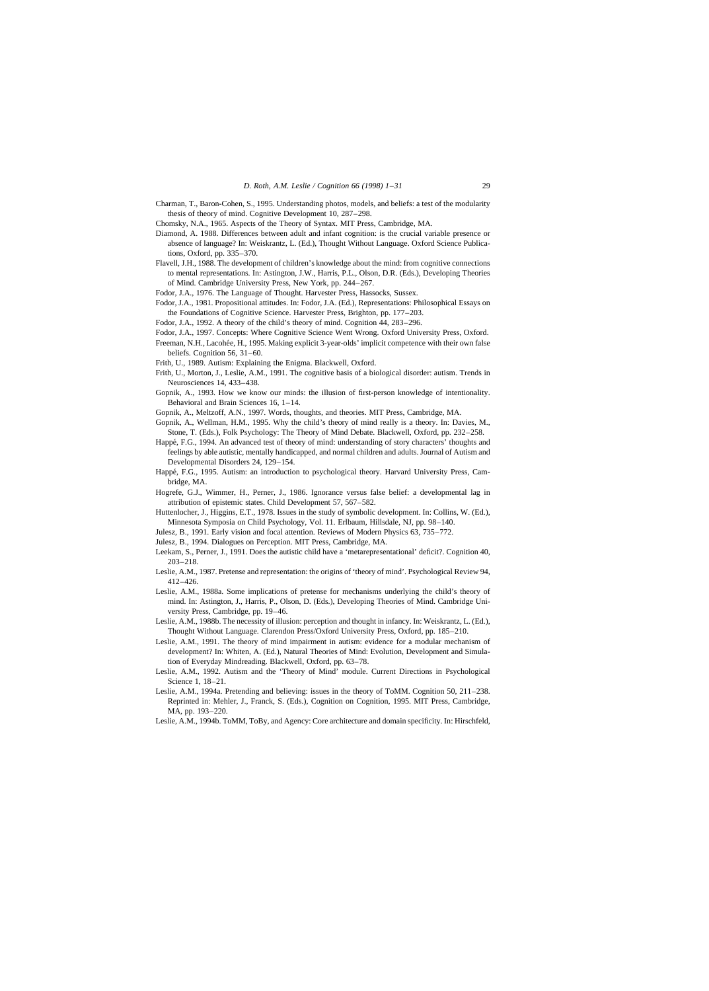- Charman, T., Baron-Cohen, S., 1995. Understanding photos, models, and beliefs: a test of the modularity thesis of theory of mind. Cognitive Development 10, 287–298.
- Chomsky, N.A., 1965. Aspects of the Theory of Syntax. MIT Press, Cambridge, MA.
- Diamond, A. 1988. Differences between adult and infant cognition: is the crucial variable presence or absence of language? In: Weiskrantz, L. (Ed.), Thought Without Language. Oxford Science Publications, Oxford, pp. 335–370.
- Flavell, J.H., 1988. The development of children's knowledge about the mind: from cognitive connections to mental representations. In: Astington, J.W., Harris, P.L., Olson, D.R. (Eds.), Developing Theories of Mind. Cambridge University Press, New York, pp. 244–267.
- Fodor, J.A., 1976. The Language of Thought. Harvester Press, Hassocks, Sussex.
- Fodor, J.A., 1981. Propositional attitudes. In: Fodor, J.A. (Ed.), Representations: Philosophical Essays on the Foundations of Cognitive Science. Harvester Press, Brighton, pp. 177–203.
- Fodor, J.A., 1992. A theory of the child's theory of mind. Cognition 44, 283–296.
- Fodor, J.A., 1997. Concepts: Where Cognitive Science Went Wrong. Oxford University Press, Oxford.
- Freeman, N.H., Lacohée, H., 1995. Making explicit 3-year-olds' implicit competence with their own false beliefs. Cognition 56, 31–60.
- Frith, U., 1989. Autism: Explaining the Enigma. Blackwell, Oxford.
- Frith, U., Morton, J., Leslie, A.M., 1991. The cognitive basis of a biological disorder: autism. Trends in Neurosciences 14, 433–438.
- Gopnik, A., 1993. How we know our minds: the illusion of first-person knowledge of intentionality. Behavioral and Brain Sciences 16, 1–14.
- Gopnik, A., Meltzoff, A.N., 1997. Words, thoughts, and theories. MIT Press, Cambridge, MA.
- Gopnik, A., Wellman, H.M., 1995. Why the child's theory of mind really is a theory. In: Davies, M., Stone, T. (Eds.), Folk Psychology: The Theory of Mind Debate. Blackwell, Oxford, pp. 232–258.
- Happé, F.G., 1994. An advanced test of theory of mind: understanding of story characters' thoughts and feelings by able autistic, mentally handicapped, and normal children and adults. Journal of Autism and Developmental Disorders 24, 129–154.
- Happe´, F.G., 1995. Autism: an introduction to psychological theory. Harvard University Press, Cambridge, MA.
- Hogrefe, G.J., Wimmer, H., Perner, J., 1986. Ignorance versus false belief: a developmental lag in attribution of epistemic states. Child Development 57, 567–582.
- Huttenlocher, J., Higgins, E.T., 1978. Issues in the study of symbolic development. In: Collins, W. (Ed.), Minnesota Symposia on Child Psychology, Vol. 11. Erlbaum, Hillsdale, NJ, pp. 98–140.
- Julesz, B., 1991. Early vision and focal attention. Reviews of Modern Physics 63, 735–772.
- Julesz, B., 1994. Dialogues on Perception. MIT Press, Cambridge, MA.
- Leekam, S., Perner, J., 1991. Does the autistic child have a 'metarepresentational' deficit?. Cognition 40, 203–218.
- Leslie, A.M., 1987. Pretense and representation: the origins of 'theory of mind'. Psychological Review 94, 412–426.
- Leslie, A.M., 1988a. Some implications of pretense for mechanisms underlying the child's theory of mind. In: Astington, J., Harris, P., Olson, D. (Eds.), Developing Theories of Mind. Cambridge University Press, Cambridge, pp. 19–46.
- Leslie, A.M., 1988b. The necessity of illusion: perception and thought in infancy. In: Weiskrantz, L. (Ed.), Thought Without Language. Clarendon Press/Oxford University Press, Oxford, pp. 185–210.
- Leslie, A.M., 1991. The theory of mind impairment in autism: evidence for a modular mechanism of development? In: Whiten, A. (Ed.), Natural Theories of Mind: Evolution, Development and Simulation of Everyday Mindreading. Blackwell, Oxford, pp. 63–78.
- Leslie, A.M., 1992. Autism and the 'Theory of Mind' module. Current Directions in Psychological Science 1, 18–21.
- Leslie, A.M., 1994a. Pretending and believing: issues in the theory of ToMM. Cognition 50, 211–238. Reprinted in: Mehler, J., Franck, S. (Eds.), Cognition on Cognition, 1995. MIT Press, Cambridge, MA, pp. 193–220.
- Leslie, A.M., 1994b. ToMM, ToBy, and Agency: Core architecture and domain specificity. In: Hirschfeld,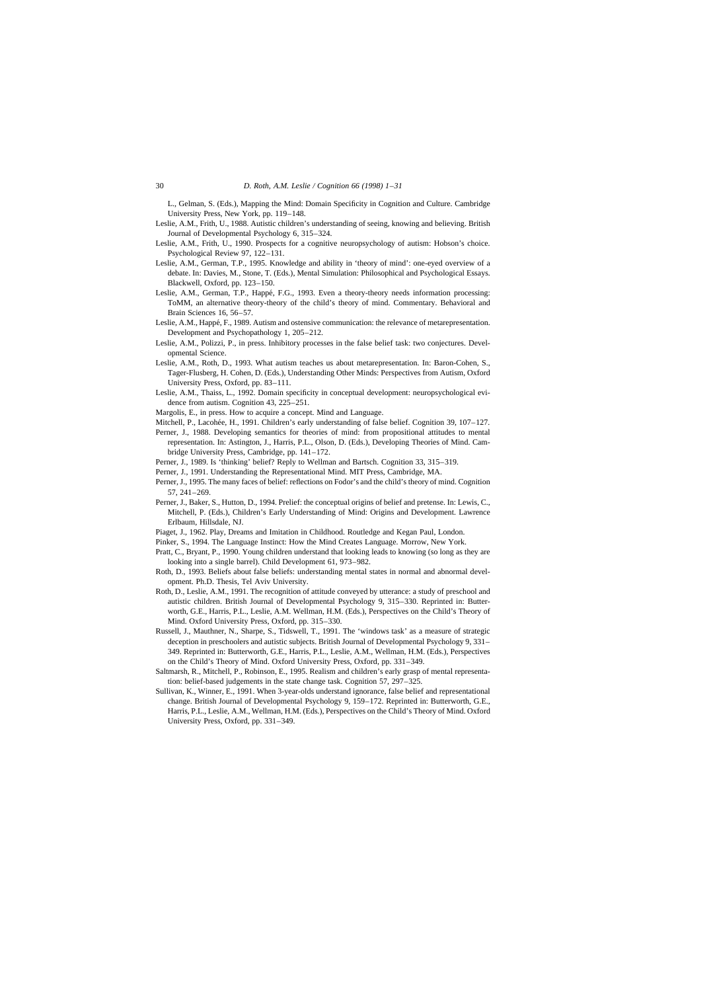L., Gelman, S. (Eds.), Mapping the Mind: Domain Specificity in Cognition and Culture. Cambridge University Press, New York, pp. 119–148.

- Leslie, A.M., Frith, U., 1988. Autistic children's understanding of seeing, knowing and believing. British Journal of Developmental Psychology 6, 315–324.
- Leslie, A.M., Frith, U., 1990. Prospects for a cognitive neuropsychology of autism: Hobson's choice. Psychological Review 97, 122–131.
- Leslie, A.M., German, T.P., 1995. Knowledge and ability in 'theory of mind': one-eyed overview of a debate. In: Davies, M., Stone, T. (Eds.), Mental Simulation: Philosophical and Psychological Essays. Blackwell, Oxford, pp. 123–150.
- Leslie, A.M., German, T.P., Happé, F.G., 1993. Even a theory-theory needs information processing: ToMM, an alternative theory-theory of the child's theory of mind. Commentary. Behavioral and Brain Sciences 16, 56–57.
- Leslie, A.M., Happé, F., 1989. Autism and ostensive communication: the relevance of metarepresentation. Development and Psychopathology 1, 205–212.
- Leslie, A.M., Polizzi, P., in press. Inhibitory processes in the false belief task: two conjectures. Developmental Science.
- Leslie, A.M., Roth, D., 1993. What autism teaches us about metarepresentation. In: Baron-Cohen, S., Tager-Flusberg, H. Cohen, D. (Eds.), Understanding Other Minds: Perspectives from Autism, Oxford University Press, Oxford, pp. 83–111.
- Leslie, A.M., Thaiss, L., 1992. Domain specificity in conceptual development: neuropsychological evidence from autism. Cognition 43, 225–251.
- Margolis, E., in press. How to acquire a concept. Mind and Language.
- Mitchell, P., Lacohée, H., 1991. Children's early understanding of false belief. Cognition 39, 107–127.
- Perner, J., 1988. Developing semantics for theories of mind: from propositional attitudes to mental representation. In: Astington, J., Harris, P.L., Olson, D. (Eds.), Developing Theories of Mind. Cambridge University Press, Cambridge, pp. 141–172.
- Perner, J., 1989. Is 'thinking' belief? Reply to Wellman and Bartsch. Cognition 33, 315–319.
- Perner, J., 1991. Understanding the Representational Mind. MIT Press, Cambridge, MA.
- Perner, J., 1995. The many faces of belief: reflections on Fodor's and the child's theory of mind. Cognition 57, 241–269.
- Perner, J., Baker, S., Hutton, D., 1994. Prelief: the conceptual origins of belief and pretense. In: Lewis, C., Mitchell, P. (Eds.), Children's Early Understanding of Mind: Origins and Development. Lawrence Erlbaum, Hillsdale, NJ.
- Piaget, J., 1962. Play, Dreams and Imitation in Childhood. Routledge and Kegan Paul, London.
- Pinker, S., 1994. The Language Instinct: How the Mind Creates Language. Morrow, New York.
- Pratt, C., Bryant, P., 1990. Young children understand that looking leads to knowing (so long as they are looking into a single barrel). Child Development 61, 973–982.
- Roth, D., 1993. Beliefs about false beliefs: understanding mental states in normal and abnormal development. Ph.D. Thesis, Tel Aviv University.
- Roth, D., Leslie, A.M., 1991. The recognition of attitude conveyed by utterance: a study of preschool and autistic children. British Journal of Developmental Psychology 9, 315–330. Reprinted in: Butterworth, G.E., Harris, P.L., Leslie, A.M. Wellman, H.M. (Eds.), Perspectives on the Child's Theory of Mind. Oxford University Press, Oxford, pp. 315–330.
- Russell, J., Mauthner, N., Sharpe, S., Tidswell, T., 1991. The 'windows task' as a measure of strategic deception in preschoolers and autistic subjects. British Journal of Developmental Psychology 9, 331– 349. Reprinted in: Butterworth, G.E., Harris, P.L., Leslie, A.M., Wellman, H.M. (Eds.), Perspectives on the Child's Theory of Mind. Oxford University Press, Oxford, pp. 331–349.
- Saltmarsh, R., Mitchell, P., Robinson, E., 1995. Realism and children's early grasp of mental representation: belief-based judgements in the state change task. Cognition 57, 297–325.
- Sullivan, K., Winner, E., 1991. When 3-year-olds understand ignorance, false belief and representational change. British Journal of Developmental Psychology 9, 159–172. Reprinted in: Butterworth, G.E., Harris, P.L., Leslie, A.M., Wellman, H.M. (Eds.), Perspectives on the Child's Theory of Mind. Oxford University Press, Oxford, pp. 331–349.